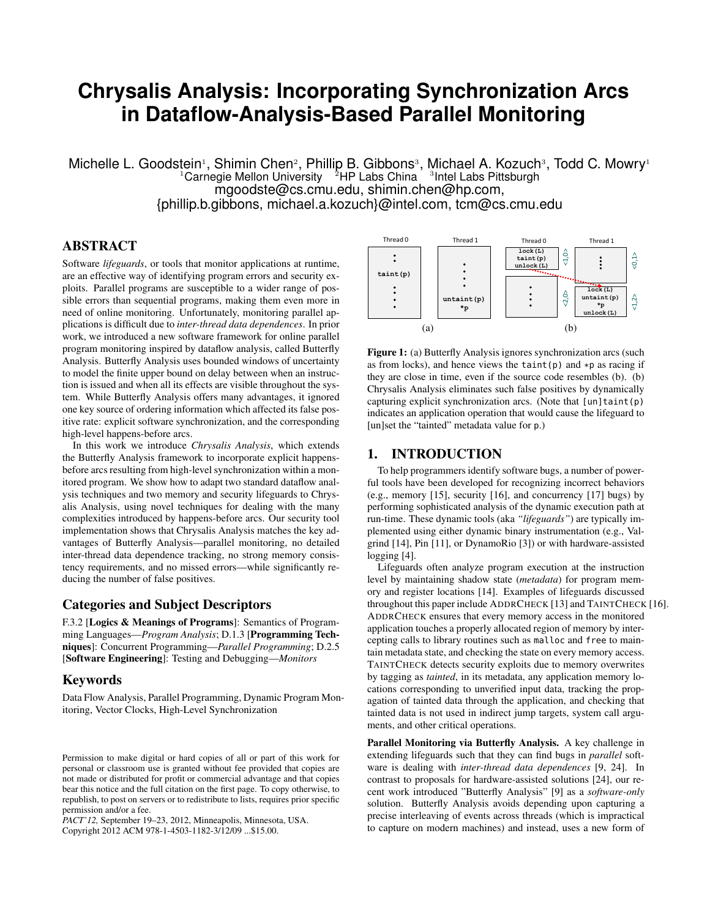# **Chrysalis Analysis: Incorporating Synchronization Arcs in Dataflow-Analysis-Based Parallel Monitoring**

Michelle L. Goodstein<sup>1</sup>, Shimin Chen<sup>2</sup>, Phillip B. Gibbons<sup>3</sup>, Michael A. Kozuch<sup>3</sup>, Todd C. Mowry<sup>1</sup>  $^1$ Carnegie Mellon University  $^{2}$ HP Labs China  $^{3}$  Intel Labs Pittsburgh mgoodste@cs.cmu.edu, shimin.chen@hp.com, {phillip.b.gibbons, michael.a.kozuch}@intel.com, tcm@cs.cmu.edu

# ABSTRACT

Software *lifeguards*, or tools that monitor applications at runtime, are an effective way of identifying program errors and security exploits. Parallel programs are susceptible to a wider range of possible errors than sequential programs, making them even more in need of online monitoring. Unfortunately, monitoring parallel applications is difficult due to *inter-thread data dependences*. In prior work, we introduced a new software framework for online parallel program monitoring inspired by dataflow analysis, called Butterfly Analysis. Butterfly Analysis uses bounded windows of uncertainty to model the finite upper bound on delay between when an instruction is issued and when all its effects are visible throughout the system. While Butterfly Analysis offers many advantages, it ignored one key source of ordering information which affected its false positive rate: explicit software synchronization, and the corresponding high-level happens-before arcs.

In this work we introduce *Chrysalis Analysis*, which extends the Butterfly Analysis framework to incorporate explicit happensbefore arcs resulting from high-level synchronization within a monitored program. We show how to adapt two standard dataflow analysis techniques and two memory and security lifeguards to Chrysalis Analysis, using novel techniques for dealing with the many complexities introduced by happens-before arcs. Our security tool implementation shows that Chrysalis Analysis matches the key advantages of Butterfly Analysis—parallel monitoring, no detailed inter-thread data dependence tracking, no strong memory consistency requirements, and no missed errors—while significantly reducing the number of false positives.

# Categories and Subject Descriptors

F.3.2 [Logics & Meanings of Programs]: Semantics of Programming Languages—*Program Analysis*; D.1.3 [Programming Techniques]: Concurrent Programming—*Parallel Programming*; D.2.5 [Software Engineering]: Testing and Debugging—*Monitors*

### Keywords

Data Flow Analysis, Parallel Programming, Dynamic Program Monitoring, Vector Clocks, High-Level Synchronization

*PACT'12,* September 19–23, 2012, Minneapolis, Minnesota, USA. Copyright 2012 ACM 978-1-4503-1182-3/12/09 ...\$15.00.



Figure 1: (a) Butterfly Analysis ignores synchronization arcs (such as from locks), and hence views the taint(p) and  $*p$  as racing if they are close in time, even if the source code resembles (b). (b) Chrysalis Analysis eliminates such false positives by dynamically capturing explicit synchronization arcs. (Note that  $\lceil \text{un} \rceil$  taint(p) indicates an application operation that would cause the lifeguard to [un]set the "tainted" metadata value for p.)

# 1. INTRODUCTION

To help programmers identify software bugs, a number of powerful tools have been developed for recognizing incorrect behaviors (e.g., memory [15], security [16], and concurrency [17] bugs) by performing sophisticated analysis of the dynamic execution path at run-time. These dynamic tools (aka *"lifeguards"*) are typically implemented using either dynamic binary instrumentation (e.g., Valgrind [14], Pin [11], or DynamoRio [3]) or with hardware-assisted logging [4].

Lifeguards often analyze program execution at the instruction level by maintaining shadow state (*metadata*) for program memory and register locations [14]. Examples of lifeguards discussed throughout this paper include ADDRCHECK [13] and TAINTCHECK [16]. ADDRCHECK ensures that every memory access in the monitored application touches a properly allocated region of memory by intercepting calls to library routines such as malloc and free to maintain metadata state, and checking the state on every memory access. TAINTCHECK detects security exploits due to memory overwrites by tagging as *tainted*, in its metadata, any application memory locations corresponding to unverified input data, tracking the propagation of tainted data through the application, and checking that tainted data is not used in indirect jump targets, system call arguments, and other critical operations.

Parallel Monitoring via Butterfly Analysis. A key challenge in extending lifeguards such that they can find bugs in *parallel* software is dealing with *inter-thread data dependences* [9, 24]. In contrast to proposals for hardware-assisted solutions [24], our recent work introduced "Butterfly Analysis" [9] as a *software-only* solution. Butterfly Analysis avoids depending upon capturing a precise interleaving of events across threads (which is impractical to capture on modern machines) and instead, uses a new form of

Permission to make digital or hard copies of all or part of this work for personal or classroom use is granted without fee provided that copies are not made or distributed for profit or commercial advantage and that copies bear this notice and the full citation on the first page. To copy otherwise, to republish, to post on servers or to redistribute to lists, requires prior specific permission and/or a fee.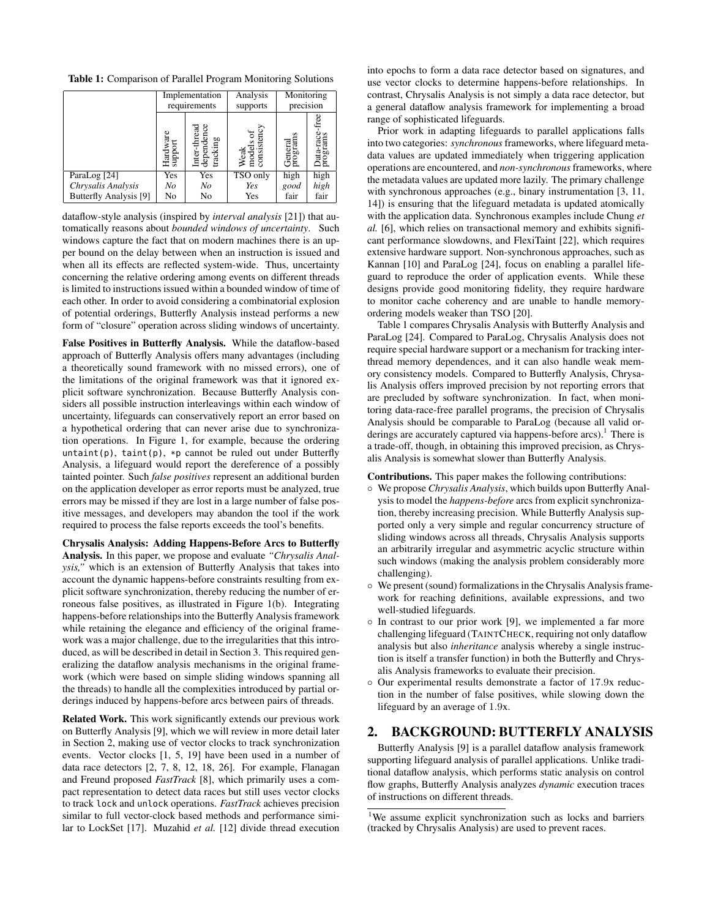Table 1: Comparison of Parallel Program Monitoring Solutions

|                        | Implementation<br>requirements |                                        | Analysis<br>supports             | Monitoring<br>precision    |      |
|------------------------|--------------------------------|----------------------------------------|----------------------------------|----------------------------|------|
|                        | Hardware<br>support            | Inter-thread<br>dependence<br>tracking | Weak<br>models of<br>consistency | s<br>ਫ਼<br>Gener<br>progra | ΘÙ   |
| ParaLog [24]           | Yes                            | Yes                                    | TSO only                         | high                       | high |
| Chrysalis Analysis     | No                             | No                                     | Yes                              | good                       | high |
| Butterfly Analysis [9] | No                             | No                                     | Yes                              | fair                       | fair |

dataflow-style analysis (inspired by *interval analysis* [21]) that automatically reasons about *bounded windows of uncertainty*. Such windows capture the fact that on modern machines there is an upper bound on the delay between when an instruction is issued and when all its effects are reflected system-wide. Thus, uncertainty concerning the relative ordering among events on different threads is limited to instructions issued within a bounded window of time of each other. In order to avoid considering a combinatorial explosion of potential orderings, Butterfly Analysis instead performs a new form of "closure" operation across sliding windows of uncertainty.

False Positives in Butterfly Analysis. While the dataflow-based approach of Butterfly Analysis offers many advantages (including a theoretically sound framework with no missed errors), one of the limitations of the original framework was that it ignored explicit software synchronization. Because Butterfly Analysis considers all possible instruction interleavings within each window of uncertainty, lifeguards can conservatively report an error based on a hypothetical ordering that can never arise due to synchronization operations. In Figure 1, for example, because the ordering  $untaint(p)$ ,  $taint(p)$ , \*p cannot be ruled out under Butterfly Analysis, a lifeguard would report the dereference of a possibly tainted pointer. Such *false positives* represent an additional burden on the application developer as error reports must be analyzed, true errors may be missed if they are lost in a large number of false positive messages, and developers may abandon the tool if the work required to process the false reports exceeds the tool's benefits.

Chrysalis Analysis: Adding Happens-Before Arcs to Butterfly Analysis. In this paper, we propose and evaluate *"Chrysalis Analysis,"* which is an extension of Butterfly Analysis that takes into account the dynamic happens-before constraints resulting from explicit software synchronization, thereby reducing the number of erroneous false positives, as illustrated in Figure 1(b). Integrating happens-before relationships into the Butterfly Analysis framework while retaining the elegance and efficiency of the original framework was a major challenge, due to the irregularities that this introduced, as will be described in detail in Section 3. This required generalizing the dataflow analysis mechanisms in the original framework (which were based on simple sliding windows spanning all the threads) to handle all the complexities introduced by partial orderings induced by happens-before arcs between pairs of threads.

Related Work. This work significantly extends our previous work on Butterfly Analysis [9], which we will review in more detail later in Section 2, making use of vector clocks to track synchronization events. Vector clocks [1, 5, 19] have been used in a number of data race detectors [2, 7, 8, 12, 18, 26]. For example, Flanagan and Freund proposed *FastTrack* [8], which primarily uses a compact representation to detect data races but still uses vector clocks to track lock and unlock operations. *FastTrack* achieves precision similar to full vector-clock based methods and performance similar to LockSet [17]. Muzahid *et al.* [12] divide thread execution into epochs to form a data race detector based on signatures, and use vector clocks to determine happens-before relationships. In contrast, Chrysalis Analysis is not simply a data race detector, but a general dataflow analysis framework for implementing a broad range of sophisticated lifeguards.

Prior work in adapting lifeguards to parallel applications falls into two categories: *synchronous*frameworks, where lifeguard metadata values are updated immediately when triggering application operations are encountered, and *non-synchronous*frameworks, where the metadata values are updated more lazily. The primary challenge with synchronous approaches (e.g., binary instrumentation [3, 11, 14]) is ensuring that the lifeguard metadata is updated atomically with the application data. Synchronous examples include Chung *et al.* [6], which relies on transactional memory and exhibits significant performance slowdowns, and FlexiTaint [22], which requires extensive hardware support. Non-synchronous approaches, such as Kannan [10] and ParaLog [24], focus on enabling a parallel lifeguard to reproduce the order of application events. While these designs provide good monitoring fidelity, they require hardware to monitor cache coherency and are unable to handle memoryordering models weaker than TSO [20].

Table 1 compares Chrysalis Analysis with Butterfly Analysis and ParaLog [24]. Compared to ParaLog, Chrysalis Analysis does not require special hardware support or a mechanism for tracking interthread memory dependences, and it can also handle weak memory consistency models. Compared to Butterfly Analysis, Chrysalis Analysis offers improved precision by not reporting errors that are precluded by software synchronization. In fact, when monitoring data-race-free parallel programs, the precision of Chrysalis Analysis should be comparable to ParaLog (because all valid orderings are accurately captured via happens-before arcs).<sup>1</sup> There is a trade-off, though, in obtaining this improved precision, as Chrysalis Analysis is somewhat slower than Butterfly Analysis.

Contributions. This paper makes the following contributions:

- We propose *Chrysalis Analysis*, which builds upon Butterfly Analysis to model the *happens-before* arcs from explicit synchronization, thereby increasing precision. While Butterfly Analysis supported only a very simple and regular concurrency structure of sliding windows across all threads, Chrysalis Analysis supports an arbitrarily irregular and asymmetric acyclic structure within such windows (making the analysis problem considerably more challenging).
- We present (sound) formalizations in the Chrysalis Analysis framework for reaching definitions, available expressions, and two well-studied lifeguards.
- In contrast to our prior work [9], we implemented a far more challenging lifeguard (TAINTCHECK, requiring not only dataflow analysis but also *inheritance* analysis whereby a single instruction is itself a transfer function) in both the Butterfly and Chrysalis Analysis frameworks to evaluate their precision.
- Our experimental results demonstrate a factor of 17.9x reduction in the number of false positives, while slowing down the lifeguard by an average of 1.9x.

# 2. BACKGROUND: BUTTERFLY ANALYSIS

Butterfly Analysis [9] is a parallel dataflow analysis framework supporting lifeguard analysis of parallel applications. Unlike traditional dataflow analysis, which performs static analysis on control flow graphs, Butterfly Analysis analyzes *dynamic* execution traces of instructions on different threads.

<sup>&</sup>lt;sup>1</sup>We assume explicit synchronization such as locks and barriers (tracked by Chrysalis Analysis) are used to prevent races.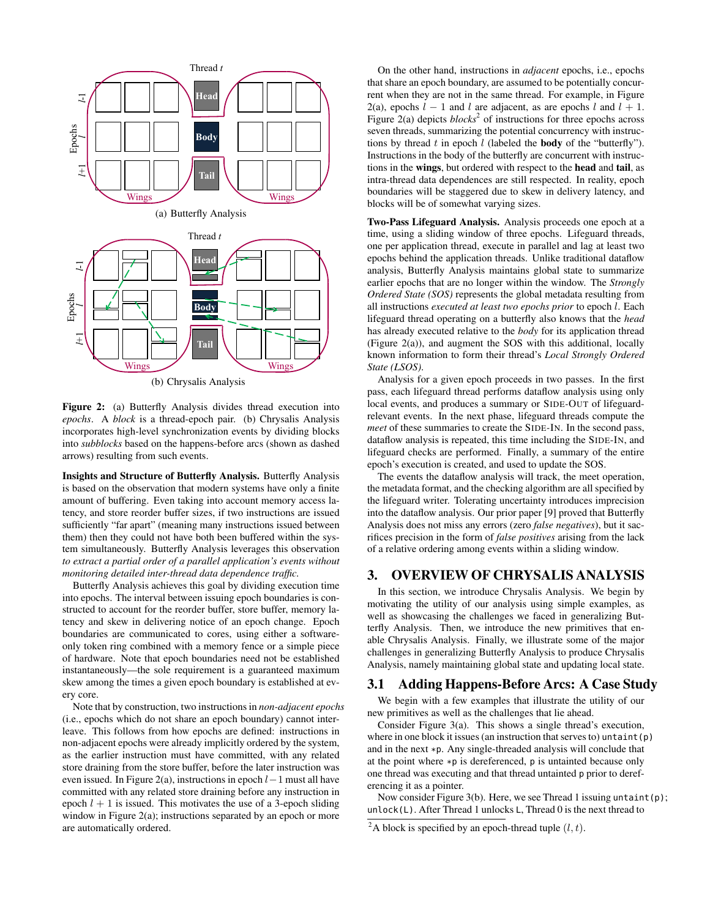

(b) Chrysalis Analysis

Figure 2: (a) Butterfly Analysis divides thread execution into *epochs*. A *block* is a thread-epoch pair. (b) Chrysalis Analysis incorporates high-level synchronization events by dividing blocks into *subblocks* based on the happens-before arcs (shown as dashed arrows) resulting from such events.

Insights and Structure of Butterfly Analysis. Butterfly Analysis is based on the observation that modern systems have only a finite amount of buffering. Even taking into account memory access latency, and store reorder buffer sizes, if two instructions are issued sufficiently "far apart" (meaning many instructions issued between them) then they could not have both been buffered within the system simultaneously. Butterfly Analysis leverages this observation *to extract a partial order of a parallel application's events without monitoring detailed inter-thread data dependence traffic.*

Butterfly Analysis achieves this goal by dividing execution time into epochs. The interval between issuing epoch boundaries is constructed to account for the reorder buffer, store buffer, memory latency and skew in delivering notice of an epoch change. Epoch boundaries are communicated to cores, using either a softwareonly token ring combined with a memory fence or a simple piece of hardware. Note that epoch boundaries need not be established instantaneously—the sole requirement is a guaranteed maximum skew among the times a given epoch boundary is established at every core.

Note that by construction, two instructions in *non-adjacent epochs* (i.e., epochs which do not share an epoch boundary) cannot interleave. This follows from how epochs are defined: instructions in non-adjacent epochs were already implicitly ordered by the system, as the earlier instruction must have committed, with any related store draining from the store buffer, before the later instruction was even issued. In Figure 2(a), instructions in epoch  $l-1$  must all have committed with any related store draining before any instruction in epoch  $l + 1$  is issued. This motivates the use of a 3-epoch sliding window in Figure 2(a); instructions separated by an epoch or more are automatically ordered.

On the other hand, instructions in *adjacent* epochs, i.e., epochs that share an epoch boundary, are assumed to be potentially concurrent when they are not in the same thread. For example, in Figure 2(a), epochs  $l - 1$  and l are adjacent, as are epochs l and  $l + 1$ . Figure  $2(a)$  depicts  $blocks^2$  of instructions for three epochs across seven threads, summarizing the potential concurrency with instructions by thread  $t$  in epoch  $l$  (labeled the **body** of the "butterfly"). Instructions in the body of the butterfly are concurrent with instructions in the wings, but ordered with respect to the head and tail, as intra-thread data dependences are still respected. In reality, epoch boundaries will be staggered due to skew in delivery latency, and blocks will be of somewhat varying sizes.

Two-Pass Lifeguard Analysis. Analysis proceeds one epoch at a time, using a sliding window of three epochs. Lifeguard threads, one per application thread, execute in parallel and lag at least two epochs behind the application threads. Unlike traditional dataflow analysis, Butterfly Analysis maintains global state to summarize earlier epochs that are no longer within the window. The *Strongly Ordered State (SOS)* represents the global metadata resulting from all instructions *executed at least two epochs prior* to epoch l. Each lifeguard thread operating on a butterfly also knows that the *head* has already executed relative to the *body* for its application thread (Figure 2(a)), and augment the SOS with this additional, locally known information to form their thread's *Local Strongly Ordered State (LSOS)*.

Analysis for a given epoch proceeds in two passes. In the first pass, each lifeguard thread performs dataflow analysis using only local events, and produces a summary or SIDE*-*OUT of lifeguardrelevant events. In the next phase, lifeguard threads compute the *meet* of these summaries to create the SIDE*-*IN. In the second pass, dataflow analysis is repeated, this time including the SIDE-IN, and lifeguard checks are performed. Finally, a summary of the entire epoch's execution is created, and used to update the SOS.

The events the dataflow analysis will track, the meet operation, the metadata format, and the checking algorithm are all specified by the lifeguard writer. Tolerating uncertainty introduces imprecision into the dataflow analysis. Our prior paper [9] proved that Butterfly Analysis does not miss any errors (zero *false negatives*), but it sacrifices precision in the form of *false positives* arising from the lack of a relative ordering among events within a sliding window.

# 3. OVERVIEW OF CHRYSALIS ANALYSIS

In this section, we introduce Chrysalis Analysis. We begin by motivating the utility of our analysis using simple examples, as well as showcasing the challenges we faced in generalizing Butterfly Analysis. Then, we introduce the new primitives that enable Chrysalis Analysis. Finally, we illustrate some of the major challenges in generalizing Butterfly Analysis to produce Chrysalis Analysis, namely maintaining global state and updating local state.

### 3.1 Adding Happens-Before Arcs: A Case Study

We begin with a few examples that illustrate the utility of our new primitives as well as the challenges that lie ahead.

Consider Figure 3(a). This shows a single thread's execution, where in one block it issues (an instruction that serves to) untaint  $(p)$ and in the next \*p. Any single-threaded analysis will conclude that at the point where \*p is dereferenced, p is untainted because only one thread was executing and that thread untainted p prior to dereferencing it as a pointer.

Now consider Figure 3(b). Here, we see Thread 1 issuing untaint(p); unlock(L). After Thread 1 unlocks L, Thread 0 is the next thread to

<sup>&</sup>lt;sup>2</sup>A block is specified by an epoch-thread tuple  $(l, t)$ .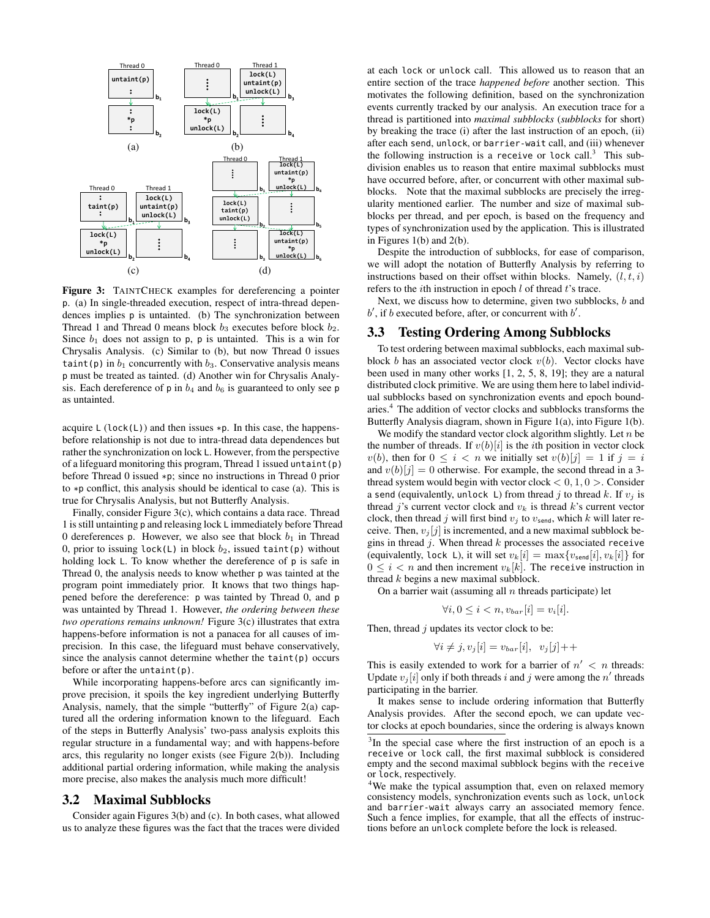

Figure 3: TAINTCHECK examples for dereferencing a pointer p. (a) In single-threaded execution, respect of intra-thread dependences implies p is untainted. (b) The synchronization between Thread 1 and Thread 0 means block  $b_3$  executes before block  $b_2$ . Since  $b_1$  does not assign to p, p is untainted. This is a win for Chrysalis Analysis. (c) Similar to (b), but now Thread 0 issues taint(p) in  $b_1$  concurrently with  $b_3$ . Conservative analysis means p must be treated as tainted. (d) Another win for Chrysalis Analysis. Each dereference of  $p$  in  $b_4$  and  $b_6$  is guaranteed to only see  $p$ as untainted.

acquire  $L (lock(L))$  and then issues \*p. In this case, the happensbefore relationship is not due to intra-thread data dependences but rather the synchronization on lock L. However, from the perspective of a lifeguard monitoring this program, Thread 1 issued untaint(p) before Thread 0 issued \*p; since no instructions in Thread 0 prior to \*p conflict, this analysis should be identical to case (a). This is true for Chrysalis Analysis, but not Butterfly Analysis.

Finally, consider Figure 3(c), which contains a data race. Thread 1 is still untainting p and releasing lock L immediately before Thread 0 dereferences p. However, we also see that block  $b_1$  in Thread 0, prior to issuing lock(L) in block  $b_2$ , issued taint(p) without holding lock L. To know whether the dereference of p is safe in Thread 0, the analysis needs to know whether p was tainted at the program point immediately prior. It knows that two things happened before the dereference: p was tainted by Thread 0, and p was untainted by Thread 1. However, *the ordering between these two operations remains unknown!* Figure 3(c) illustrates that extra happens-before information is not a panacea for all causes of imprecision. In this case, the lifeguard must behave conservatively, since the analysis cannot determine whether the taint(p) occurs before or after the untaint(p).

While incorporating happens-before arcs can significantly improve precision, it spoils the key ingredient underlying Butterfly Analysis, namely, that the simple "butterfly" of Figure 2(a) captured all the ordering information known to the lifeguard. Each of the steps in Butterfly Analysis' two-pass analysis exploits this regular structure in a fundamental way; and with happens-before arcs, this regularity no longer exists (see Figure 2(b)). Including additional partial ordering information, while making the analysis more precise, also makes the analysis much more difficult!

#### 3.2 Maximal Subblocks

Consider again Figures 3(b) and (c). In both cases, what allowed us to analyze these figures was the fact that the traces were divided at each lock or unlock call. This allowed us to reason that an entire section of the trace *happened before* another section. This motivates the following definition, based on the synchronization events currently tracked by our analysis. An execution trace for a thread is partitioned into *maximal subblocks* (*subblocks* for short) by breaking the trace (i) after the last instruction of an epoch, (ii) after each send, unlock, or barrier-wait call, and (iii) whenever the following instruction is a receive or lock call. $3$  This subdivision enables us to reason that entire maximal subblocks must have occurred before, after, or concurrent with other maximal subblocks. Note that the maximal subblocks are precisely the irregularity mentioned earlier. The number and size of maximal subblocks per thread, and per epoch, is based on the frequency and types of synchronization used by the application. This is illustrated in Figures 1(b) and 2(b).

Despite the introduction of subblocks, for ease of comparison, we will adopt the notation of Butterfly Analysis by referring to instructions based on their offset within blocks. Namely,  $(l, t, i)$ refers to the *i*th instruction in epoch  $l$  of thread  $t$ 's trace.

Next, we discuss how to determine, given two subblocks,  $b$  and  $b'$ , if  $b$  executed before, after, or concurrent with  $b'$ .

#### 3.3 Testing Ordering Among Subblocks

To test ordering between maximal subblocks, each maximal subblock b has an associated vector clock  $v(b)$ . Vector clocks have been used in many other works [1, 2, 5, 8, 19]; they are a natural distributed clock primitive. We are using them here to label individual subblocks based on synchronization events and epoch boundaries.<sup>4</sup> The addition of vector clocks and subblocks transforms the Butterfly Analysis diagram, shown in Figure 1(a), into Figure 1(b).

We modify the standard vector clock algorithm slightly. Let  $n$  be the number of threads. If  $v(b)[i]$  is the *i*th position in vector clock  $v(b)$ , then for  $0 \leq i < n$  we initially set  $v(b)[j] = 1$  if  $j = i$ and  $v(b)[j] = 0$  otherwise. For example, the second thread in a 3thread system would begin with vector clock  $< 0, 1, 0 >$ . Consider a send (equivalently, unlock L) from thread j to thread k. If  $v_i$  is thread j's current vector clock and  $v_k$  is thread k's current vector clock, then thread j will first bind  $v_j$  to  $v_{\text{send}}$ , which k will later receive. Then,  $v_i[j]$  is incremented, and a new maximal subblock begins in thread  $j$ . When thread  $k$  processes the associated receive (equivalently, lock L), it will set  $v_k[i] = \max\{v_{send}[i], v_k[i]\}$  for  $0 \leq i < n$  and then increment  $v_k[k]$ . The receive instruction in thread k begins a new maximal subblock.

On a barrier wait (assuming all  $n$  threads participate) let

$$
\forall i, 0 \leq i < n, v_{bar}[i] = v_i[i].
$$

Then, thread  $j$  updates its vector clock to be:

$$
\forall i \neq j, v_j[i] = v_{bar}[i], v_j[j] + +
$$

This is easily extended to work for a barrier of  $n' < n$  threads: Update  $v_j[i]$  only if both threads i and j were among the n' threads participating in the barrier.

It makes sense to include ordering information that Butterfly Analysis provides. After the second epoch, we can update vector clocks at epoch boundaries, since the ordering is always known

<sup>&</sup>lt;sup>3</sup>In the special case where the first instruction of an epoch is a receive or lock call, the first maximal subblock is considered empty and the second maximal subblock begins with the receive or lock, respectively.

<sup>&</sup>lt;sup>4</sup>We make the typical assumption that, even on relaxed memory consistency models, synchronization events such as lock, unlock and barrier-wait always carry an associated memory fence. Such a fence implies, for example, that all the effects of instructions before an unlock complete before the lock is released.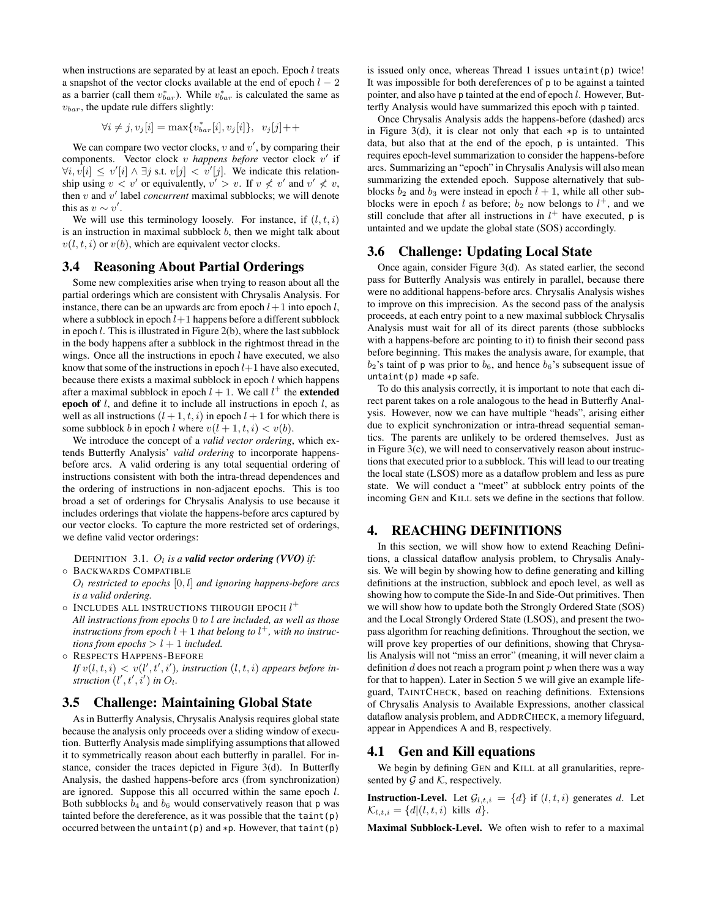when instructions are separated by at least an epoch. Epoch  $l$  treats a snapshot of the vector clocks available at the end of epoch  $l - 2$ as a barrier (call them  $v_{bar}^*$ ). While  $v_{bar}^*$  is calculated the same as  $v_{bar}$ , the update rule differs slightly:

$$
\forall i \neq j, v_j[i] = \max\{v_{bar}^*[i], v_j[i]\}, v_j[j] + +
$$

We can compare two vector clocks,  $v$  and  $v'$ , by comparing their components. Vector clock v happens before vector clock v' if  $\forall i, v[i] \leq v'[i] \wedge \exists j \text{ s.t. } v[j] < v'[j]$ . We indicate this relationship using  $v < v'$  or equivalently,  $v' > v$ . If  $v \nless v'$  and  $v' \nless v$ , then  $v$  and  $v'$  label *concurrent* maximal subblocks; we will denote this as  $v \sim v'$ .

We will use this terminology loosely. For instance, if  $(l, t, i)$ is an instruction in maximal subblock  $b$ , then we might talk about  $v(l, t, i)$  or  $v(b)$ , which are equivalent vector clocks.

### 3.4 Reasoning About Partial Orderings

Some new complexities arise when trying to reason about all the partial orderings which are consistent with Chrysalis Analysis. For instance, there can be an upwards arc from epoch  $l+1$  into epoch l, where a subblock in epoch  $l+1$  happens before a different subblock in epoch l. This is illustrated in Figure 2(b), where the last subblock in the body happens after a subblock in the rightmost thread in the wings. Once all the instructions in epoch  $l$  have executed, we also know that some of the instructions in epoch  $l+1$  have also executed, because there exists a maximal subblock in epoch  $l$  which happens after a maximal subblock in epoch  $l + 1$ . We call  $l^+$  the **extended** epoch of  $l$ , and define it to include all instructions in epoch  $l$ , as well as all instructions  $(l + 1, t, i)$  in epoch  $l + 1$  for which there is some subblock b in epoch l where  $v(l + 1, t, i) < v(b)$ .

We introduce the concept of a *valid vector ordering*, which extends Butterfly Analysis' *valid ordering* to incorporate happensbefore arcs. A valid ordering is any total sequential ordering of instructions consistent with both the intra-thread dependences and the ordering of instructions in non-adjacent epochs. This is too broad a set of orderings for Chrysalis Analysis to use because it includes orderings that violate the happens-before arcs captured by our vector clocks. To capture the more restricted set of orderings, we define valid vector orderings:

DEFINITION 3.1.  $O_l$  *is a valid vector ordering (VVO) if:* ◦ BACKWARDS COMPATIBLE

O<sup>l</sup> *restricted to epochs* [0, l] *and ignoring happens-before arcs is a valid ordering.*

 $\circ$  Includes all instructions through epoch  $l^+$ 

*All instructions from epochs* 0 *to* l *are included, as well as those instructions from epoch*  $l + 1$  *that belong to*  $l^+$ *, with no instructions from epochs*  $> l + 1$  *included.* 

◦ RESPECTS HAPPENS-BEFORE

*If*  $v(l, t, i) < v(l', t', i')$ , instruction  $(l, t, i)$  appears before in*struction*  $(l', t', i')$  *in*  $O_l$ *.* 

### 3.5 Challenge: Maintaining Global State

As in Butterfly Analysis, Chrysalis Analysis requires global state because the analysis only proceeds over a sliding window of execution. Butterfly Analysis made simplifying assumptions that allowed it to symmetrically reason about each butterfly in parallel. For instance, consider the traces depicted in Figure 3(d). In Butterfly Analysis, the dashed happens-before arcs (from synchronization) are ignored. Suppose this all occurred within the same epoch l. Both subblocks  $b_4$  and  $b_6$  would conservatively reason that p was tainted before the dereference, as it was possible that the taint $(p)$ occurred between the untaint(p) and  $*p$ . However, that taint(p) is issued only once, whereas Thread 1 issues untaint(p) twice! It was impossible for both dereferences of p to be against a tainted pointer, and also have p tainted at the end of epoch l. However, Butterfly Analysis would have summarized this epoch with p tainted.

Once Chrysalis Analysis adds the happens-before (dashed) arcs in Figure 3(d), it is clear not only that each  $\ast p$  is to untainted data, but also that at the end of the epoch, p is untainted. This requires epoch-level summarization to consider the happens-before arcs. Summarizing an "epoch" in Chrysalis Analysis will also mean summarizing the extended epoch. Suppose alternatively that subblocks  $b_2$  and  $b_3$  were instead in epoch  $l + 1$ , while all other subblocks were in epoch l as before;  $b_2$  now belongs to  $l^+$ , and we still conclude that after all instructions in  $l^+$  have executed, p is untainted and we update the global state (SOS) accordingly.

# 3.6 Challenge: Updating Local State

Once again, consider Figure 3(d). As stated earlier, the second pass for Butterfly Analysis was entirely in parallel, because there were no additional happens-before arcs. Chrysalis Analysis wishes to improve on this imprecision. As the second pass of the analysis proceeds, at each entry point to a new maximal subblock Chrysalis Analysis must wait for all of its direct parents (those subblocks with a happens-before arc pointing to it) to finish their second pass before beginning. This makes the analysis aware, for example, that  $b_2$ 's taint of p was prior to  $b_6$ , and hence  $b_6$ 's subsequent issue of untaint(p) made \*p safe.

To do this analysis correctly, it is important to note that each direct parent takes on a role analogous to the head in Butterfly Analysis. However, now we can have multiple "heads", arising either due to explicit synchronization or intra-thread sequential semantics. The parents are unlikely to be ordered themselves. Just as in Figure 3(c), we will need to conservatively reason about instructions that executed prior to a subblock. This will lead to our treating the local state (LSOS) more as a dataflow problem and less as pure state. We will conduct a "meet" at subblock entry points of the incoming GEN and KILL sets we define in the sections that follow.

# 4. REACHING DEFINITIONS

In this section, we will show how to extend Reaching Definitions, a classical dataflow analysis problem, to Chrysalis Analysis. We will begin by showing how to define generating and killing definitions at the instruction, subblock and epoch level, as well as showing how to compute the Side-In and Side-Out primitives. Then we will show how to update both the Strongly Ordered State (SOS) and the Local Strongly Ordered State (LSOS), and present the twopass algorithm for reaching definitions. Throughout the section, we will prove key properties of our definitions, showing that Chrysalis Analysis will not "miss an error" (meaning, it will never claim a definition  $d$  does not reach a program point  $p$  when there was a way for that to happen). Later in Section 5 we will give an example lifeguard, TAINTCHECK, based on reaching definitions. Extensions of Chrysalis Analysis to Available Expressions, another classical dataflow analysis problem, and ADDRCHECK, a memory lifeguard, appear in Appendices A and B, respectively.

### 4.1 Gen and Kill equations

We begin by defining GEN and KILL at all granularities, represented by  $\mathcal G$  and  $\mathcal K$ , respectively.

**Instruction-Level.** Let  $\mathcal{G}_{l,t,i} = \{d\}$  if  $(l, t, i)$  generates d. Let  $\mathcal{K}_{l,t,i} = \{d | (l,t,i)$  kills d}.

Maximal Subblock-Level. We often wish to refer to a maximal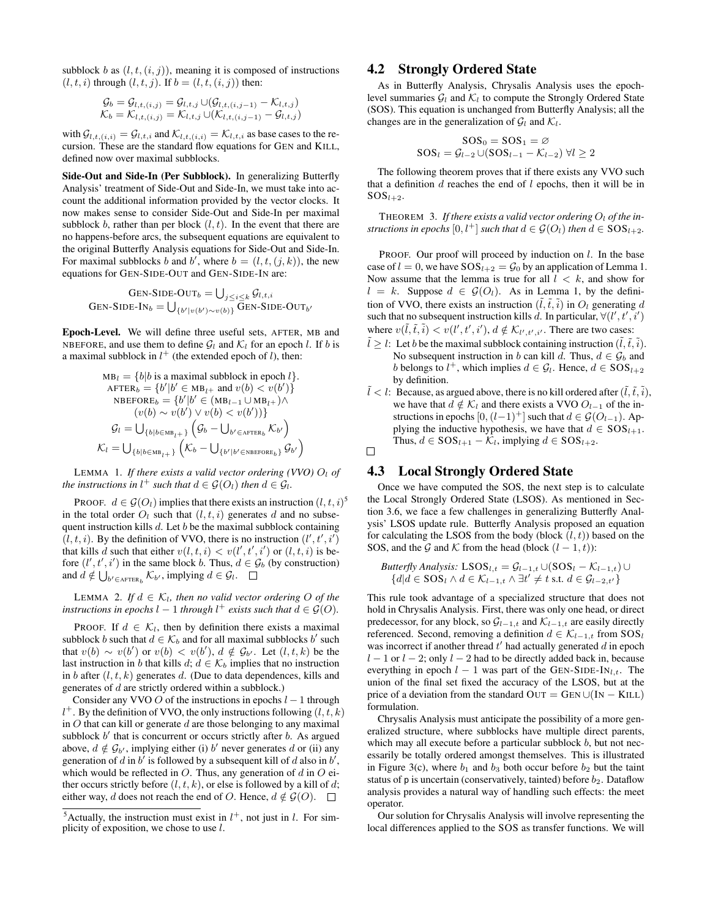subblock b as  $(l, t, (i, j))$ , meaning it is composed of instructions  $(l, t, i)$  through  $(l, t, j)$ . If  $b = (l, t, (i, j))$  then:

$$
\mathcal{G}_b = \mathcal{G}_{l,t,(i,j)} = \mathcal{G}_{l,t,j} \cup (\mathcal{G}_{l,t,(i,j-1)} - \mathcal{K}_{l,t,j}) \mathcal{K}_b = \mathcal{K}_{l,t,(i,j)} = \mathcal{K}_{l,t,j} \cup (\mathcal{K}_{l,t,(i,j-1)} - \mathcal{G}_{l,t,j})
$$

with  $\mathcal{G}_{l,t,(i,i)} = \mathcal{G}_{l,t,i}$  and  $\mathcal{K}_{l,t,(i,i)} = \mathcal{K}_{l,t,i}$  as base cases to the recursion. These are the standard flow equations for GEN and KILL, defined now over maximal subblocks.

Side-Out and Side-In (Per Subblock). In generalizing Butterfly Analysis' treatment of Side-Out and Side-In, we must take into account the additional information provided by the vector clocks. It now makes sense to consider Side-Out and Side-In per maximal subblock b, rather than per block  $(l, t)$ . In the event that there are no happens-before arcs, the subsequent equations are equivalent to the original Butterfly Analysis equations for Side-Out and Side-In. For maximal subblocks b and b', where  $b = (l, t, (j, k))$ , the new equations for GEN-SIDE-OUT and GEN-SIDE-IN are:

$$
Gen-SIDE-OUTb = \bigcup_{j \le i \le k} \mathcal{G}_{l,t,i}
$$
  
Gen-SIDE-IN<sub>b</sub> = 
$$
\bigcup_{\{b'|v(b') \sim v(b)\}} \overline{Gen-SIDE-OUT_{b'}}
$$

Epoch-Level. We will define three useful sets, AFTER, MB and NBEFORE, and use them to define  $\mathcal{G}_l$  and  $\mathcal{K}_l$  for an epoch l. If b is a maximal subblock in  $l^+$  (the extended epoch of l), then:

$$
MB_l = \{b|b \text{ is a maximal subblock in epoch } l\}.
$$
  
 
$$
AETER_b = \{b'|b' \in MB_{l^+} \text{ and } v(b) < v(b')\}
$$
  
 
$$
NBEFORE_b = \{b'|b' \in (MB_{l-1} \cup MB_{l^+}) \land
$$
  
 
$$
(v(b) \sim v(b') \lor v(b) < v(b'))\}
$$
  
 
$$
G_l = \bigcup_{\{b|b \in MB_{l^+}\}} (G_b - \bigcup_{b' \in AETER_b} K_{b'})
$$
  
 
$$
\mathcal{K}_l = \bigcup_{\{b|b \in MB_{l^+}\}} (K_b - \bigcup_{\{b'|b' \in NBERORE_b\}} G_{b'})
$$

LEMMA 1. If there exists a valid vector ordering (VVO)  $O_l$  of *the instructions in*  $l^+$  *such that*  $d \in \mathcal{G}(O_l)$  *then*  $d \in \mathcal{G}_l$ *.* 

PROOF.  $d \in \mathcal{G}(O_l)$  implies that there exists an instruction  $(l, t, i)$ <sup>5</sup> in the total order  $O_l$  such that  $(l, t, i)$  generates d and no subsequent instruction kills  $d$ . Let  $b$  be the maximal subblock containing  $(l, t, i)$ . By the definition of VVO, there is no instruction  $(l', t', i')$ that kills d such that either  $v(l, t, i) < v(l', t', i')$  or  $(l, t, i)$  is before  $(l', t', i')$  in the same block b. Thus,  $d \in \mathcal{G}_b$  (by construction) and  $d \notin \bigcup_{b' \in \text{AFFER}_b} \mathcal{K}_{b'}$ , implying  $d \in \mathcal{G}_l$ .

LEMMA 2. If  $d \in \mathcal{K}_l$ , then no valid vector ordering O of the *instructions in epochs*  $l - 1$  *through*  $l^+$  *exists such that*  $d \in \mathcal{G}(O)$ *.* 

PROOF. If  $d \in \mathcal{K}_l$ , then by definition there exists a maximal subblock b such that  $d \in \mathcal{K}_b$  and for all maximal subblocks b' such that  $v(b) \sim v(b')$  or  $v(b) < v(b')$ ,  $d \notin \mathcal{G}_{b'}$ . Let  $(l, t, k)$  be the last instruction in b that kills  $d; d \in \mathcal{K}_b$  implies that no instruction in b after  $(l, t, k)$  generates d. (Due to data dependences, kills and generates of d are strictly ordered within a subblock.)

Consider any VVO  $O$  of the instructions in epochs  $l - 1$  through  $l^+$ . By the definition of VVO, the only instructions following  $(l, t, k)$ in  $O$  that can kill or generate  $d$  are those belonging to any maximal subblock  $b'$  that is concurrent or occurs strictly after  $b$ . As argued above,  $d \notin \mathcal{G}_{b'}$ , implying either (i) b' never generates d or (ii) any generation of d in  $b^7$  is followed by a subsequent kill of d also in  $b^7$ , which would be reflected in  $O$ . Thus, any generation of  $d$  in  $O$  either occurs strictly before  $(l, t, k)$ , or else is followed by a kill of d; either way, d does not reach the end of O. Hence,  $d \notin \mathcal{G}(O)$ .  $\square$ 

# 4.2 Strongly Ordered State

As in Butterfly Analysis, Chrysalis Analysis uses the epochlevel summaries  $\mathcal{G}_l$  and  $\mathcal{K}_l$  to compute the Strongly Ordered State (SOS). This equation is unchanged from Butterfly Analysis; all the changes are in the generalization of  $\mathcal{G}_l$  and  $\mathcal{K}_l$ .

$$
SOS0 = SOS1 = \varnothing
$$
  

$$
SOSl = \mathcal{G}_{l-2} \cup (SOSl-1 - \mathcal{K}_{l-2}) \ \forall l \ge 2
$$

The following theorem proves that if there exists any VVO such that a definition  $d$  reaches the end of  $l$  epochs, then it will be in  $SOS<sub>l+2</sub>$ .

THEOREM 3. If there exists a valid vector ordering  $O_l$  of the in*structions in epochs*  $[0, l^+]$  *such that*  $d \in \mathcal{G}(O_l)$  *then*  $d \in SOS_{l+2}$ *.* 

PROOF. Our proof will proceed by induction on  $l$ . In the base case of  $l = 0$ , we have  $SOS<sub>l+2</sub> = \mathcal{G}_0$  by an application of Lemma 1. Now assume that the lemma is true for all  $l \, < \, k$ , and show for  $l = k$ . Suppose  $d \in \mathcal{G}(O_l)$ . As in Lemma 1, by the definition of VVO, there exists an instruction  $(\tilde{l}, \tilde{t}, \tilde{i})$  in  $O_l$  generating d such that no subsequent instruction kills d. In particular,  $\forall (l', t', i')$ where  $v(\tilde{l}, \tilde{t}, \tilde{i}) < v(l', t', i'), d \notin \mathcal{K}_{l', t', i'}$ . There are two cases:

- $\tilde{l} \geq l$ : Let b be the maximal subblock containing instruction  $(\tilde{l}, \tilde{t}, \tilde{i})$ . No subsequent instruction in b can kill d. Thus,  $d \in \mathcal{G}_b$  and b belongs to  $l^+$ , which implies  $d \in \mathcal{G}_l$ . Hence,  $d \in SOS_{l+2}$ by definition.
- $\tilde{l} < l$ : Because, as argued above, there is no kill ordered after  $(\tilde{l}, \tilde{t}, \tilde{i})$ , we have that  $d \notin \mathcal{K}_l$  and there exists a VVO  $O_{l-1}$  of the instructions in epochs  $[0,(l-1)^+]$  such that  $d \in \mathcal{G}(O_{l-1})$ . Applying the inductive hypothesis, we have that  $d \in SOS_{l+1}$ . Thus,  $d \in SOS_{l+1} - \mathcal{K}_l$ , implying  $d \in SOS_{l+2}$ .  $\Box$

# 4.3 Local Strongly Ordered State

Once we have computed the SOS, the next step is to calculate the Local Strongly Ordered State (LSOS). As mentioned in Section 3.6, we face a few challenges in generalizing Butterfly Analysis' LSOS update rule. Butterfly Analysis proposed an equation for calculating the LSOS from the body (block  $(l, t)$ ) based on the SOS, and the G and K from the head (block  $(l - 1, t)$ ):

Butterfly Analysis: 
$$
\text{LSOS}_{l,t} = \mathcal{G}_{l-1,t} \cup (\text{SOS}_l - \mathcal{K}_{l-1,t}) \cup \{d | d \in \text{SOS}_l \land d \in \mathcal{K}_{l-1,t} \land \exists t' \neq t \text{ s.t. } d \in \mathcal{G}_{l-2,t'}\}
$$

This rule took advantage of a specialized structure that does not hold in Chrysalis Analysis. First, there was only one head, or direct predecessor, for any block, so  $\mathcal{G}_{l-1,t}$  and  $\mathcal{K}_{l-1,t}$  are easily directly referenced. Second, removing a definition  $d \in \mathcal{K}_{l-1,t}$  from SOS<sub>l</sub> was incorrect if another thread  $t'$  had actually generated  $d$  in epoch  $l - 1$  or  $l - 2$ ; only  $l - 2$  had to be directly added back in, because everything in epoch  $l - 1$  was part of the GEN-SIDE-IN<sub>l,t</sub>. The union of the final set fixed the accuracy of the LSOS, but at the price of a deviation from the standard  $OUT = GEN \cup (IN - KILL)$ formulation.

Chrysalis Analysis must anticipate the possibility of a more generalized structure, where subblocks have multiple direct parents, which may all execute before a particular subblock  $b$ , but not necessarily be totally ordered amongst themselves. This is illustrated in Figure 3(c), where  $b_1$  and  $b_3$  both occur before  $b_2$  but the taint status of  $p$  is uncertain (conservatively, tainted) before  $b_2$ . Dataflow analysis provides a natural way of handling such effects: the meet operator.

Our solution for Chrysalis Analysis will involve representing the local differences applied to the SOS as transfer functions. We will

<sup>&</sup>lt;sup>5</sup> Actually, the instruction must exist in  $l^+$ , not just in l. For simplicity of exposition, we chose to use  $l$ .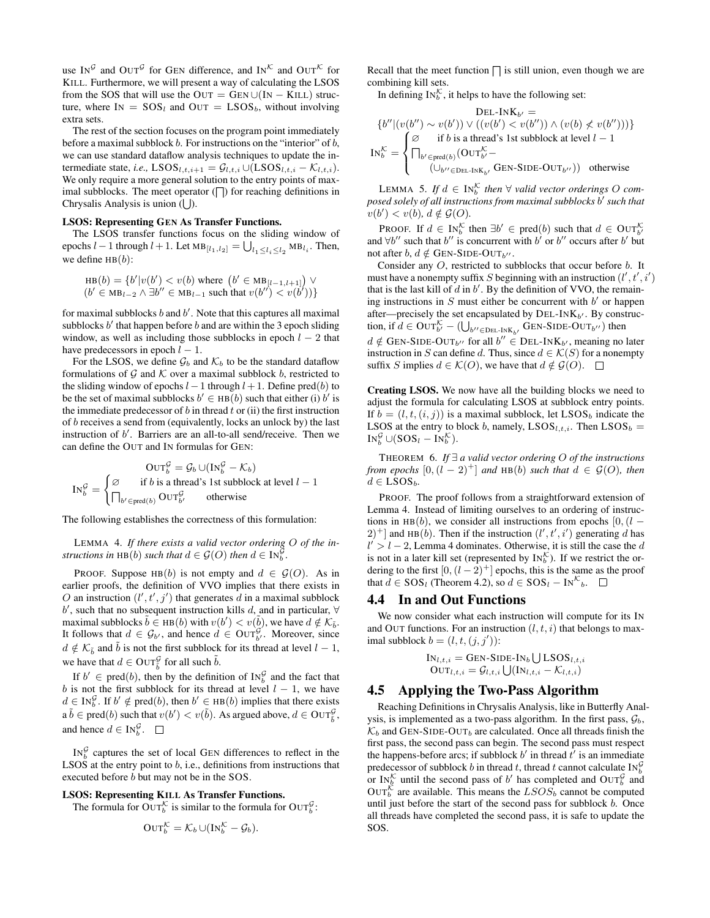use IN<sup>G</sup> and OUT<sup>G</sup> for GEN difference, and IN<sup>K</sup> and OUT<sup>K</sup> for KILL. Furthermore, we will present a way of calculating the LSOS from the SOS that will use the OUT =  $GEN \cup (IN - KILL)$  structure, where  $IN = SOS<sub>l</sub>$  and  $OUT = LSOS<sub>b</sub>$ , without involving extra sets.

The rest of the section focuses on the program point immediately before a maximal subblock  $b$ . For instructions on the "interior" of  $b$ , we can use standard dataflow analysis techniques to update the intermediate state, *i.e.*, LSOS<sub>l,t,i+1</sub> =  $\mathcal{G}_{l,t,i} \cup (LSOS_{l,t,i} - \mathcal{K}_{l,t,i}).$ We only require a more general solution to the entry points of maximal subblocks. The meet operator  $(\bigcap)$  for reaching definitions in Chrysalis Analysis is union  $($   $\bigcup$ ).

#### LSOS: Representing GEN As Transfer Functions.

The LSOS transfer functions focus on the sliding window of epochs  $l-1$  through  $l+1$ . Let  $MB_{[l_1,l_2]} = \bigcup_{l_1 \leq l_i \leq l_2} MB_{l_i}$ . Then, we define  $HB(b)$ :

$$
HB(b) = \{b'|v(b') < v(b) \text{ where } (b' \in MB_{[l-1,l+1]}) \lor (b' \in MB_{l-2} \land \exists b'' \in MB_{l-1} \text{ such that } v(b'') < v(b'))\}
$$

for maximal subblocks  $b$  and  $b'$ . Note that this captures all maximal subblocks  $b'$  that happen before  $b$  and are within the 3 epoch sliding window, as well as including those subblocks in epoch  $l - 2$  that have predecessors in epoch  $l - 1$ .

For the LSOS, we define  $\mathcal{G}_b$  and  $\mathcal{K}_b$  to be the standard dataflow formulations of  $G$  and  $K$  over a maximal subblock b, restricted to the sliding window of epochs  $l-1$  through  $l+1$ . Define pred(b) to be the set of maximal subblocks  $b' \in HB(b)$  such that either (i)  $b'$  is the immediate predecessor of  $b$  in thread  $t$  or (ii) the first instruction of b receives a send from (equivalently, locks an unlock by) the last instruction of  $b'$ . Barriers are an all-to-all send/receive. Then we can define the OUT and IN formulas for GEN:

$$
OUT_b^{\mathcal{G}} = \mathcal{G}_b \cup (IN_b^{\mathcal{G}} - \mathcal{K}_b)
$$
  
\n
$$
IN_b^{\mathcal{G}} = \begin{cases} \varnothing & \text{if } b \text{ is a thread's 1st subblock at level } l - 1 \\ \prod_{b' \in \text{pred}(b)} \text{OUT}_{b'}^{\mathcal{G}} & \text{otherwise} \end{cases}
$$

The following establishes the correctness of this formulation:

LEMMA 4. *If there exists a valid vector ordering* O *of the instructions in* HB(*b*) *such that*  $d \in \mathcal{G}(O)$  *then*  $d \in IN_{b}^{\mathcal{G}}$ .

PROOF. Suppose HB(b) is not empty and  $d \in \mathcal{G}(O)$ . As in earlier proofs, the definition of VVO implies that there exists in O an instruction  $(l', t', j')$  that generates d in a maximal subblock  $b'$ , such that no subsequent instruction kills  $d$ , and in particular, ∀ maximal subblocks  $\tilde{b} \in \text{HB}(b)$  with  $v(b') < v(\tilde{b})$ , we have  $d \notin \mathcal{K}_{\tilde{b}}$ . It follows that  $d \in \mathcal{G}_{b'}$ , and hence  $d \in \text{OUT}_{b'}^{\mathcal{G}}$ . Moreover, since  $d \notin \mathcal{K}_{\tilde{b}}$  and  $\tilde{b}$  is not the first subblock for its thread at level  $l - 1$ , we have that  $d \in \text{OUT}_{\tilde{b}}^{\mathcal{G}}$  for all such  $\tilde{b}$ .

If  $b' \in \text{pred}(b)$ , then by the definition of  $\text{IN}_{b}^{\mathcal{G}}$  and the fact that b is not the first subblock for its thread at level  $l - 1$ , we have  $d \in \text{IN}_{b}^{\mathcal{G}}$ . If  $b' \notin \text{pred}(b)$ , then  $b' \in \text{HB}(b)$  implies that there exists  $a \tilde{b} \in \text{pred}(b)$  such that  $v(b') < v(\tilde{b})$ . As argued above,  $d \in \text{OUT}_{\tilde{b}}^{\mathcal{G}}$ , and hence  $d \in \text{IN}_{b}^{\mathcal{G}}$ .

 $IN_b^{\mathcal{G}}$  captures the set of local GEN differences to reflect in the LSOS at the entry point to  $b$ , i.e., definitions from instructions that executed before b but may not be in the SOS.

#### LSOS: Representing KILL As Transfer Functions.

The formula for  $\text{OUT}_{b}^{\mathcal{K}}$  is similar to the formula for  $\text{OUT}_{b}^{\mathcal{G}}$ :

$$
OUT_b^{\mathcal{K}} = \mathcal{K}_b \cup (IN_b^{\mathcal{K}} - \mathcal{G}_b).
$$

Recall that the meet function  $\bigcap$  is still union, even though we are combining kill sets.

In defining  $IN_b^{\mathcal{K}}$ , it helps to have the following set:

$$
\text{DEL-INK}_{b'} = \{b''|(v(b'') \sim v(b')) \vee ((v(b') < v(b'')) \wedge (v(b) \nless v(b'')))\}
$$
\n
$$
\text{IN}_{b}^{\mathcal{K}} = \begin{cases} \varnothing & \text{if } b \text{ is a thread's 1st subblock at level } l - 1\\ \bigcap_{b' \in \text{pred}(b)} (\text{OUT}_{b'}^{\mathcal{K}} - \text{(U}_{b'' \in \text{DEL-INK}_{b'}} \text{GEN-SIDE-OUT}_{b''})) & \text{otherwise} \end{cases}
$$

LEMMA 5. If  $d \in \text{IN}_{b}^{\mathcal{K}}$  then  $\forall$  valid vector orderings O com*posed solely of all instructions from maximal subblocks* b 0 *such that*  $v(b') < v(b), d \notin \mathcal{G}(O)$ .

**PROOF.** If  $d \in \text{IN}_{b}^{\mathcal{K}}$  then  $\exists b' \in \text{pred}(b)$  such that  $d \in \text{OUT}_{b'}^{\mathcal{K}}$ and  $\forall b''$  such that b'' is concurrent with b' or b'' occurs after b' but not after  $b, d \notin$  GEN-SIDE-OUT<sub>b</sub><sup>11</sup>.

Consider any O, restricted to subblocks that occur before b. It must have a nonempty suffix S beginning with an instruction  $(l', t', i')$ that is the last kill of  $d$  in  $b'$ . By the definition of VVO, the remaining instructions in  $S$  must either be concurrent with  $b'$  or happen after—precisely the set encapsulated by  $DEL-INK_{b'}$ . By construction, if  $d \in \text{OUT}_{b'}^{\mathcal{K}} - (\bigcup_{b'' \in \text{DEL-INK}_{b'}} \text{GEN-SIDE-OUT}_{b''})$  then  $d \notin$  GEN-SIDE-OUT<sub>b</sub><sup>1</sup></sub> for all  $b'' \in$  DEL-INK<sub>b</sub><sup>1</sup>, meaning no later instruction in S can define d. Thus, since  $d \in \mathcal{K}(S)$  for a nonempty suffix S implies  $d \in \mathcal{K}(O)$ , we have that  $d \notin \mathcal{G}(O)$ .  $\square$ 

Creating LSOS. We now have all the building blocks we need to adjust the formula for calculating LSOS at subblock entry points. If  $b = (l, t, (i, j))$  is a maximal subblock, let LSOS<sub>b</sub> indicate the LSOS at the entry to block b, namely,  $LSOS_{l,t,i}$ . Then  $LSOS_b =$  $\text{IN}_{b}^{\mathcal{G}} \cup (\text{SOS}_{l} - \text{IN}_{b}^{\mathcal{K}}).$ 

THEOREM 6. *If* ∃ *a valid vector ordering* O *of the instructions from epochs*  $[0,(l-2)^+]$  *and* HB(b) *such that*  $d \in \mathcal{G}(O)$ *, then*  $d \in$  LSOS<sub>b</sub>.

PROOF. The proof follows from a straightforward extension of Lemma 4. Instead of limiting ourselves to an ordering of instructions in HB(b), we consider all instructions from epochs [0,  $(l (2)^+$  and HB(b). Then if the instruction  $(l', t', i')$  generating d has  $l' > l - 2$ , Lemma 4 dominates. Otherwise, it is still the case the d is not in a later kill set (represented by  $\text{IN}_{b}^{\mathcal{K}}$ ). If we restrict the ordering to the first  $[0,(l - 2)^+]$  epochs, this is the same as the proof that  $d \in SOS_l$  (Theorem 4.2), so  $d \in SOS_l - IN^{\mathcal{K}}_b$ .

#### 4.4 In and Out Functions

We now consider what each instruction will compute for its IN and OUT functions. For an instruction  $(l, t, i)$  that belongs to maximal subblock  $b = (l, t, (j, j'))$ :

$$
IN_{l,t,i} = GEN-SIDE-IN_b \bigcup LSOS_{l,t,i} OUT_{l,t,i} = G_{l,t,i} \bigcup (IN_{l,t,i} - \mathcal{K}_{l,t,i})
$$

#### 4.5 Applying the Two-Pass Algorithm

Reaching Definitions in Chrysalis Analysis, like in Butterfly Analysis, is implemented as a two-pass algorithm. In the first pass,  $\mathcal{G}_b$ ,  $\mathcal{K}_b$  and GEN-SIDE-OUT<sub>b</sub> are calculated. Once all threads finish the first pass, the second pass can begin. The second pass must respect the happens-before arcs; if subblock b' in thread  $\hat{t}$  is an immediate predecessor of subblock b in thread t, thread t cannot calculate  $\text{IN}_{b}^{\mathcal{G}}$ or  $\text{IN}_{b}^{\mathcal{K}}$  until the second pass of b' has completed and  $\text{OUT}_{b}^{\mathcal{G}}$  and  $\text{OUT}_{b}^{\mathcal{K}}$  are available. This means the  $LSOS_{b}$  cannot be computed until just before the start of the second pass for subblock  $b$ . Once all threads have completed the second pass, it is safe to update the SOS.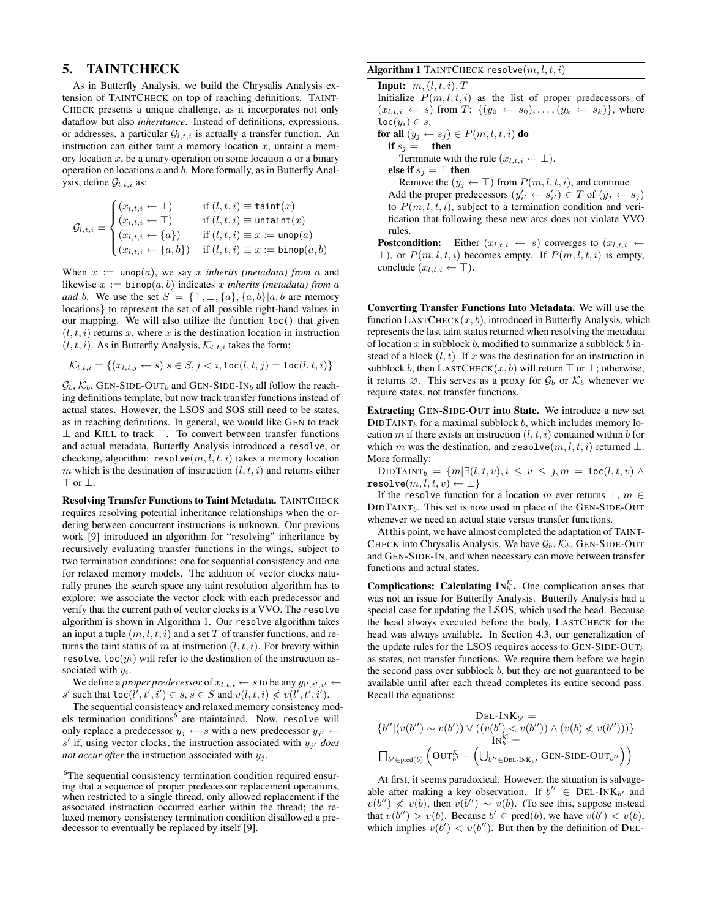# 5. TAINTCHECK

As in Butterfly Analysis, we build the Chrysalis Analysis extension of TAINTCHECK on top of reaching definitions. TAINT-CHECK presents a unique challenge, as it incorporates not only dataflow but also *inheritance*. Instead of definitions, expressions, or addresses, a particular  $G_{l,t,i}$  is actually a transfer function. An instruction can either taint a memory location  $x$ , untaint a memory location  $x$ , be a unary operation on some location  $a$  or a binary operation on locations a and b. More formally, as in Butterfly Analysis, define  $\mathcal{G}_{l,t,i}$  as:

$$
\mathcal{G}_{l,t,i} = \begin{cases} (x_{l,t,i} \leftarrow \bot) & \text{if } (l,t,i) \equiv \text{taint}(x) \\ (x_{l,t,i} \leftarrow \top) & \text{if } (l,t,i) \equiv \text{untaint}(x) \\ (x_{l,t,i} \leftarrow \{a\}) & \text{if } (l,t,i) \equiv x := \text{unop}(a) \\ (x_{l,t,i} \leftarrow \{a,b\}) & \text{if } (l,t,i) \equiv x := \text{binop}(a,b) \end{cases}
$$

When  $x := \text{unop}(a)$ , we say x *inherits (metadata) from* a and likewise  $x := \text{binop}(a, b)$  indicates x *inherits (metadata) from a and* b. We use the set  $S = \{\top, \bot, \{a\}, \{a, b\} | a, b \}$  are memory locations} to represent the set of all possible right-hand values in our mapping. We will also utilize the function loc() that given  $(l, t, i)$  returns x, where x is the destination location in instruction  $(l, t, i)$ . As in Butterfly Analysis,  $\mathcal{K}_{l,t,i}$  takes the form:

$$
\mathcal{K}_{l,t,i} = \{(x_{l,t,j} \leftarrow s) | s \in S, j < i, \text{loc}(l,t,j) = \text{loc}(l,t,i)\}
$$

 $\mathcal{G}_b$ ,  $\mathcal{K}_b$ , GEN-SIDE-OUT<sub>b</sub> and GEN-SIDE-IN<sub>b</sub> all follow the reaching definitions template, but now track transfer functions instead of actual states. However, the LSOS and SOS still need to be states, as in reaching definitions. In general, we would like GEN to track  $\perp$  and KILL to track  $\top$ . To convert between transfer functions and actual metadata, Butterfly Analysis introduced a resolve, or checking, algorithm:  $resolve(m, l, t, i)$  takes a memory location m which is the destination of instruction  $(l, t, i)$  and returns either > or ⊥.

Resolving Transfer Functions to Taint Metadata. TAINTCHECK requires resolving potential inheritance relationships when the ordering between concurrent instructions is unknown. Our previous work [9] introduced an algorithm for "resolving" inheritance by recursively evaluating transfer functions in the wings, subject to two termination conditions: one for sequential consistency and one for relaxed memory models. The addition of vector clocks naturally prunes the search space any taint resolution algorithm has to explore: we associate the vector clock with each predecessor and verify that the current path of vector clocks is a VVO. The resolve algorithm is shown in Algorithm 1. Our resolve algorithm takes an input a tuple  $(m, l, t, i)$  and a set T of transfer functions, and returns the taint status of m at instruction  $(l, t, i)$ . For brevity within resolve,  $loc(y_i)$  will refer to the destination of the instruction associated with  $y_i$ .

We define a *proper predecessor* of  $x_{l,t,i} \leftarrow s$  to be any  $y_{l',t',i'} \leftarrow$ s' such that  $\text{loc}(l', t', i') \in s, s \in S$  and  $v(l, t, i) \nless v(l', t', i').$ 

The sequential consistency and relaxed memory consistency models termination conditions<sup>6</sup> are maintained. Now, resolve will only replace a predecessor  $y_j \leftarrow s$  with a new predecessor  $y_{j'} \leftarrow$  $s'$  if, using vector clocks, the instruction associated with  $y_{j'}$  does *not occur after* the instruction associated with  $y_i$ .

#### Algorithm 1 TAINTCHECK resolve $(m, l, t, i)$

Input:  $m, (l, t, i), T$ Initialize  $P(m, l, t, i)$  as the list of proper predecessors of  $(x_{l,t,i} \leftarrow s)$  from  $T: \{(y_0 \leftarrow s_0), \ldots, (y_k \leftarrow s_k)\}\)$ , where  $loc(y_i) \in s$ . for all  $(y_j \leftarrow s_j) \in P(m, l, t, i)$  do if  $s_j = \perp$  then Terminate with the rule  $(x_{l,t,i} \leftarrow \perp)$ . else if  $s_j = \top$  then Remove the  $(y_j \leftarrow \top)$  from  $P(m, l, t, i)$ , and continue Add the proper predecessors  $(y'_{i'} \leftarrow s'_{i'}) \in T$  of  $(y_j \leftarrow s_j)$ to  $P(m, l, t, i)$ , subject to a termination condition and verification that following these new arcs does not violate VVO rules. **Postcondition:** Either  $(x_{l,t,i} \leftarrow s)$  converges to  $(x_{l,t,i} \leftarrow s)$  $\perp$ ), or  $P(m, l, t, i)$  becomes empty. If  $P(m, l, t, i)$  is empty, conclude  $(x_{l,t,i} \leftarrow \top)$ .

Converting Transfer Functions Into Metadata. We will use the function  $\text{LASTCHECK}(x, b)$ , introduced in Butterfly Analysis, which represents the last taint status returned when resolving the metadata of location  $x$  in subblock  $b$ , modified to summarize a subblock  $b$  instead of a block  $(l, t)$ . If x was the destination for an instruction in subblock b, then LASTCHECK $(x, b)$  will return  $\top$  or  $\bot$ ; otherwise, it returns  $\emptyset$ . This serves as a proxy for  $\mathcal{G}_b$  or  $\mathcal{K}_b$  whenever we require states, not transfer functions.

Extracting GEN-SIDE-OUT into State. We introduce a new set DIDTAINT<sub>b</sub> for a maximal subblock b, which includes memory location m if there exists an instruction  $(l, t, i)$  contained within b for which m was the destination, and resolve $(m, l, t, i)$  returned  $\bot$ . More formally:

DIDTAINT<sub>b</sub> = { $m | \exists (l, t, v), i \le v \le j, m$  = loc $(l, t, v) \land$ resolve $(m, l, t, v) \leftarrow \perp$ 

If the resolve function for a location m ever returns  $\perp$ ,  $m \in$  $DIDTAINT<sub>b</sub>$ . This set is now used in place of the GEN-SIDE-OUT whenever we need an actual state versus transfer functions.

At this point, we have almost completed the adaptation of TAINT-CHECK into Chrysalis Analysis. We have  $\mathcal{G}_b$ ,  $\mathcal{K}_b$ , GEN-SIDE-OUT and GEN-SIDE-IN, and when necessary can move between transfer functions and actual states.

**Complications:** Calculating  $IN_b^{\mathcal{K}}$ . One complication arises that was not an issue for Butterfly Analysis. Butterfly Analysis had a special case for updating the LSOS, which used the head. Because the head always executed before the body, LASTCHECK for the head was always available. In Section 4.3, our generalization of the update rules for the LSOS requires access to GEN-SIDE-OUT $_b$ as states, not transfer functions. We require them before we begin the second pass over subblock  $b$ , but they are not guaranteed to be available until after each thread completes its entire second pass. Recall the equations:

$$
\{b''|(v(b'')\sim v(b')) \vee ((v(b')< v(b'')) \wedge (v(b) \nless v(b'')))\}
$$
\n
$$
IN_b^{\mathcal{K}} = \bigcap_{b'\in \text{pred}(b)} \left(\text{OUT}_{b'}^{\mathcal{K}} - \left(\bigcup_{b''\in \text{DEL-INK}_{b'}} \text{GEN-SIDE-OUT}_{b''}\right)\right)
$$

At first, it seems paradoxical. However, the situation is salvageable after making a key observation. If  $b'' \in DEL-INK_{b'}$  and  $v(b'') \nless v(b)$ , then  $v(b'') \sim v(b)$ . (To see this, suppose instead that  $v(b'') > v(b)$ . Because  $b' \in \text{pred}(b)$ , we have  $v(b') < v(b)$ , which implies  $v(b') < v(b'')$ . But then by the definition of DEL-

<sup>6</sup>The sequential consistency termination condition required ensuring that a sequence of proper predecessor replacement operations, when restricted to a single thread, only allowed replacement if the associated instruction occurred earlier within the thread; the relaxed memory consistency termination condition disallowed a predecessor to eventually be replaced by itself [9].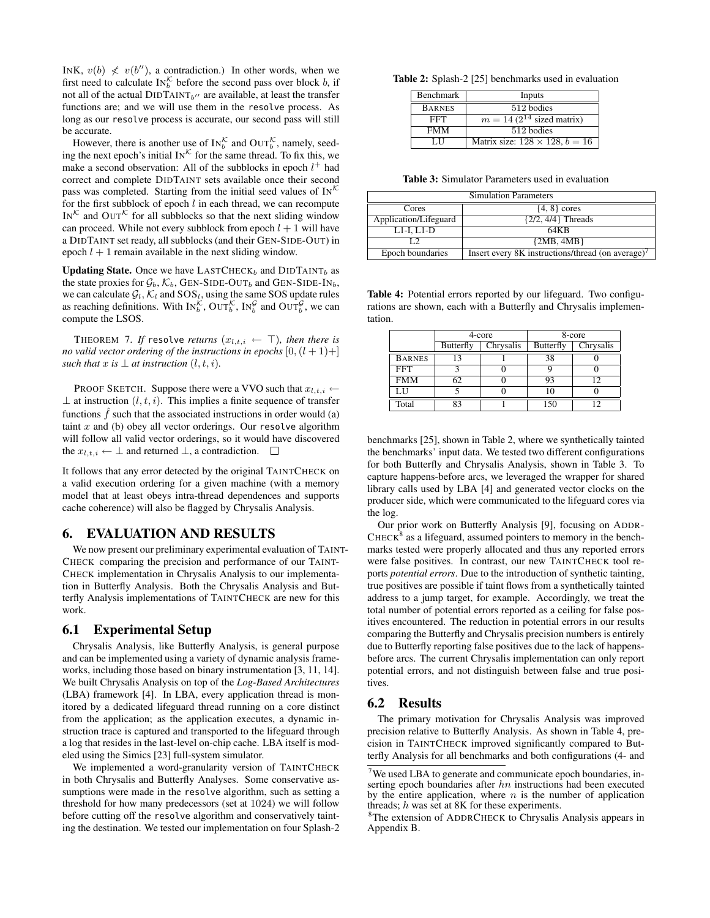INK,  $v(b) \nless v(b'')$ , a contradiction.) In other words, when we first need to calculate  $IN_b^{\mathcal{K}}$  before the second pass over block b, if not all of the actual  $\text{DIDTAINT}_{b^{\prime\prime}}$  are available, at least the transfer functions are; and we will use them in the resolve process. As long as our resolve process is accurate, our second pass will still be accurate.

However, there is another use of  $\text{IN}_{b}^{\mathcal{K}}$  and  $\text{OUT}_{b}^{\mathcal{K}}$ , namely, seeding the next epoch's initial  $IN^{\mathcal{K}}$  for the same thread. To fix this, we make a second observation: All of the subblocks in epoch  $l^+$  had correct and complete DIDTAINT sets available once their second pass was completed. Starting from the initial seed values of  $IN^{\mathcal{K}}$ for the first subblock of epoch  $l$  in each thread, we can recompute IN<sup>K</sup> and OUT<sup>K</sup> for all subblocks so that the next sliding window can proceed. While not every subblock from epoch  $l + 1$  will have a DIDTAINT set ready, all subblocks (and their GEN-SIDE-OUT) in epoch  $l + 1$  remain available in the next sliding window.

**Updating State.** Once we have LASTCHECK $_b$  and DIDTAINT $_b$  as the state proxies for  $\mathcal{G}_b$ ,  $\mathcal{K}_b$ , GEN-SIDE-OUT<sub>b</sub> and GEN-SIDE-IN<sub>b</sub>, we can calculate  $\mathcal{G}_l$ ,  $\mathcal{K}_l$  and  $SOS_l$ , using the same SOS update rules as reaching definitions. With  $IN_b^{\mathcal{K}}$ ,  $OUT_b^{\mathcal{K}}$ ,  $IN_b^{\mathcal{G}}$  and  $OUT_b^{\mathcal{G}}$ , we can compute the LSOS.

THEOREM 7. If resolve *returns*  $(x_{l,t,i} \leftarrow \top)$ *, then there is no valid vector ordering of the instructions in epochs*  $[0,(l+1)+]$ *such that*  $x$  *is*  $\perp$  *at instruction*  $(l, t, i)$ *.* 

PROOF SKETCH. Suppose there were a VVO such that  $x_{i,t,i} \leftarrow$  $\perp$  at instruction  $(l, t, i)$ . This implies a finite sequence of transfer functions  $f$  such that the associated instructions in order would (a) taint  $x$  and (b) obey all vector orderings. Our resolve algorithm will follow all valid vector orderings, so it would have discovered the  $x_{l,t,i} \leftarrow \perp$  and returned  $\perp$ , a contradiction.  $\Box$ 

It follows that any error detected by the original TAINTCHECK on a valid execution ordering for a given machine (with a memory model that at least obeys intra-thread dependences and supports cache coherence) will also be flagged by Chrysalis Analysis.

# 6. EVALUATION AND RESULTS

We now present our preliminary experimental evaluation of TAINT-CHECK comparing the precision and performance of our TAINT-CHECK implementation in Chrysalis Analysis to our implementation in Butterfly Analysis. Both the Chrysalis Analysis and Butterfly Analysis implementations of TAINTCHECK are new for this work.

# 6.1 Experimental Setup

Chrysalis Analysis, like Butterfly Analysis, is general purpose and can be implemented using a variety of dynamic analysis frameworks, including those based on binary instrumentation [3, 11, 14]. We built Chrysalis Analysis on top of the *Log-Based Architectures* (LBA) framework [4]. In LBA, every application thread is monitored by a dedicated lifeguard thread running on a core distinct from the application; as the application executes, a dynamic instruction trace is captured and transported to the lifeguard through a log that resides in the last-level on-chip cache. LBA itself is modeled using the Simics [23] full-system simulator.

We implemented a word-granularity version of TAINTCHECK in both Chrysalis and Butterfly Analyses. Some conservative assumptions were made in the resolve algorithm, such as setting a threshold for how many predecessors (set at 1024) we will follow before cutting off the resolve algorithm and conservatively tainting the destination. We tested our implementation on four Splash-2

Table 2: Splash-2 [25] benchmarks used in evaluation

| Benchmark     | Inputs                                           |  |  |
|---------------|--------------------------------------------------|--|--|
| <b>BARNES</b> | 512 bodies                                       |  |  |
| FFT           | $\overline{m} = 14(2^{14} \text{ sized matrix})$ |  |  |
| <b>FMM</b>    | 512 bodies                                       |  |  |
| Н             | Matrix size: $128 \times 128$ , $b = 16$         |  |  |

Table 3: Simulator Parameters used in evaluation

| <b>Simulation Parameters</b> |                                                  |  |  |  |
|------------------------------|--------------------------------------------------|--|--|--|
| Cores                        | $\{4, 8\}$ cores                                 |  |  |  |
| Application/Lifeguard        | $\{2/2, 4/4\}$ Threads                           |  |  |  |
| $L1-I, L1-D$                 | 64KB                                             |  |  |  |
| ГЭ                           | ${2MB, 4MB}$                                     |  |  |  |
| Epoch boundaries             | Insert every 8K instructions/thread (on average) |  |  |  |

Table 4: Potential errors reported by our lifeguard. Two configurations are shown, each with a Butterfly and Chrysalis implementation.

|               | 4-core    |           | 8-core           |           |  |
|---------------|-----------|-----------|------------------|-----------|--|
|               | Butterfly | Chrysalis | <b>Butterfly</b> | Chrysalis |  |
| <b>BARNES</b> |           |           | 38               |           |  |
| <b>FFT</b>    |           |           |                  |           |  |
| FMM           | 62        |           | 93               | ר ו       |  |
| LН            |           |           | 10               |           |  |
| Total         | Q٦        |           |                  |           |  |

benchmarks [25], shown in Table 2, where we synthetically tainted the benchmarks' input data. We tested two different configurations for both Butterfly and Chrysalis Analysis, shown in Table 3. To capture happens-before arcs, we leveraged the wrapper for shared library calls used by LBA [4] and generated vector clocks on the producer side, which were communicated to the lifeguard cores via the log.

Our prior work on Butterfly Analysis [9], focusing on ADDR-CHECK $<sup>8</sup>$  as a lifeguard, assumed pointers to memory in the bench-</sup> marks tested were properly allocated and thus any reported errors were false positives. In contrast, our new TAINTCHECK tool reports *potential errors*. Due to the introduction of synthetic tainting, true positives are possible if taint flows from a synthetically tainted address to a jump target, for example. Accordingly, we treat the total number of potential errors reported as a ceiling for false positives encountered. The reduction in potential errors in our results comparing the Butterfly and Chrysalis precision numbers is entirely due to Butterfly reporting false positives due to the lack of happensbefore arcs. The current Chrysalis implementation can only report potential errors, and not distinguish between false and true positives.

#### 6.2 Results

The primary motivation for Chrysalis Analysis was improved precision relative to Butterfly Analysis. As shown in Table 4, precision in TAINTCHECK improved significantly compared to Butterfly Analysis for all benchmarks and both configurations (4- and

 $7$ We used LBA to generate and communicate epoch boundaries, inserting epoch boundaries after hn instructions had been executed by the entire application, where  $n$  is the number of application threads; h was set at 8K for these experiments.

<sup>8</sup>The extension of ADDRCHECK to Chrysalis Analysis appears in Appendix B.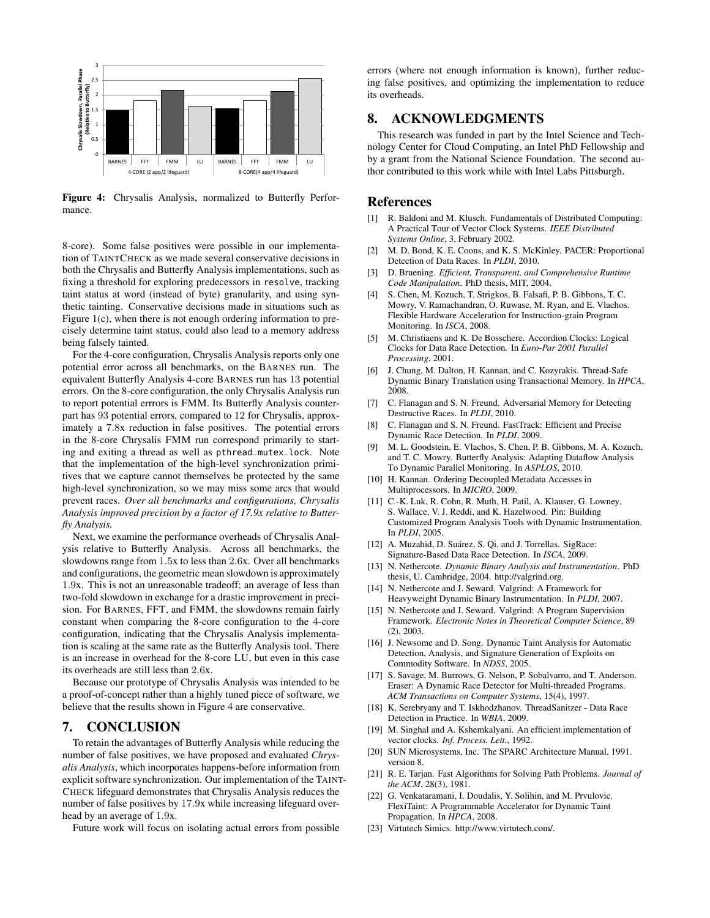

Figure 4: Chrysalis Analysis, normalized to Butterfly Performance.

8-core). Some false positives were possible in our implementation of TAINTCHECK as we made several conservative decisions in both the Chrysalis and Butterfly Analysis implementations, such as fixing a threshold for exploring predecessors in resolve, tracking taint status at word (instead of byte) granularity, and using synthetic tainting. Conservative decisions made in situations such as Figure 1(c), when there is not enough ordering information to precisely determine taint status, could also lead to a memory address being falsely tainted.

For the 4-core configuration, Chrysalis Analysis reports only one potential error across all benchmarks, on the BARNES run. The equivalent Butterfly Analysis 4-core BARNES run has 13 potential errors. On the 8-core configuration, the only Chrysalis Analysis run to report potential errrors is FMM. Its Butterfly Analysis counterpart has 93 potential errors, compared to 12 for Chrysalis, approximately a 7.8x reduction in false positives. The potential errors in the 8-core Chrysalis FMM run correspond primarily to starting and exiting a thread as well as pthread\_mutex\_lock. Note that the implementation of the high-level synchronization primitives that we capture cannot themselves be protected by the same high-level synchronization, so we may miss some arcs that would prevent races. *Over all benchmarks and configurations, Chrysalis Analysis improved precision by a factor of 17.9x relative to Butterfly Analysis.*

Next, we examine the performance overheads of Chrysalis Analysis relative to Butterfly Analysis. Across all benchmarks, the slowdowns range from 1.5x to less than 2.6x. Over all benchmarks and configurations, the geometric mean slowdown is approximately 1.9x. This is not an unreasonable tradeoff; an average of less than two-fold slowdown in exchange for a drastic improvement in precision. For BARNES, FFT, and FMM, the slowdowns remain fairly constant when comparing the 8-core configuration to the 4-core configuration, indicating that the Chrysalis Analysis implementation is scaling at the same rate as the Butterfly Analysis tool. There is an increase in overhead for the 8-core LU, but even in this case its overheads are still less than 2.6x.

Because our prototype of Chrysalis Analysis was intended to be a proof-of-concept rather than a highly tuned piece of software, we believe that the results shown in Figure 4 are conservative.

# 7. CONCLUSION

To retain the advantages of Butterfly Analysis while reducing the number of false positives, we have proposed and evaluated *Chrysalis Analysis*, which incorporates happens-before information from explicit software synchronization. Our implementation of the TAINT-CHECK lifeguard demonstrates that Chrysalis Analysis reduces the number of false positives by 17.9x while increasing lifeguard overhead by an average of 1.9x.

Future work will focus on isolating actual errors from possible

errors (where not enough information is known), further reducing false positives, and optimizing the implementation to reduce its overheads.

### 8. ACKNOWLEDGMENTS

This research was funded in part by the Intel Science and Technology Center for Cloud Computing, an Intel PhD Fellowship and by a grant from the National Science Foundation. The second author contributed to this work while with Intel Labs Pittsburgh.

#### References

- [1] R. Baldoni and M. Klusch. Fundamentals of Distributed Computing: A Practical Tour of Vector Clock Systems. *IEEE Distributed Systems Online*, 3, February 2002.
- [2] M. D. Bond, K. E. Coons, and K. S. McKinley. PACER: Proportional Detection of Data Races. In *PLDI*, 2010.
- [3] D. Bruening. *Efficient, Transparent, and Comprehensive Runtime Code Manipulation*. PhD thesis, MIT, 2004.
- [4] S. Chen, M. Kozuch, T. Strigkos, B. Falsafi, P. B. Gibbons, T. C. Mowry, V. Ramachandran, O. Ruwase, M. Ryan, and E. Vlachos. Flexible Hardware Acceleration for Instruction-grain Program Monitoring. In *ISCA*, 2008.
- [5] M. Christiaens and K. De Bosschere. Accordion Clocks: Logical Clocks for Data Race Detection. In *Euro-Par 2001 Parallel Processing*, 2001.
- J. Chung, M. Dalton, H. Kannan, and C. Kozyrakis. Thread-Safe Dynamic Binary Translation using Transactional Memory. In *HPCA*, 2008.
- [7] C. Flanagan and S. N. Freund. Adversarial Memory for Detecting Destructive Races. In *PLDI*, 2010.
- [8] C. Flanagan and S. N. Freund. FastTrack: Efficient and Precise Dynamic Race Detection. In *PLDI*, 2009.
- [9] M. L. Goodstein, E. Vlachos, S. Chen, P. B. Gibbons, M. A. Kozuch, and T. C. Mowry. Butterfly Analysis: Adapting Dataflow Analysis To Dynamic Parallel Monitoring. In *ASPLOS*, 2010.
- [10] H. Kannan. Ordering Decoupled Metadata Accesses in Multiprocessors. In *MICRO*, 2009.
- [11] C.-K. Luk, R. Cohn, R. Muth, H. Patil, A. Klauser, G. Lowney, S. Wallace, V. J. Reddi, and K. Hazelwood. Pin: Building Customized Program Analysis Tools with Dynamic Instrumentation. In *PLDI*, 2005.
- [12] A. Muzahid, D. Suárez, S. Qi, and J. Torrellas. SigRace: Signature-Based Data Race Detection. In *ISCA*, 2009.
- [13] N. Nethercote. *Dynamic Binary Analysis and Instrumentation*. PhD thesis, U. Cambridge, 2004. http://valgrind.org.
- [14] N. Nethercote and J. Seward. Valgrind: A Framework for Heavyweight Dynamic Binary Instrumentation. In *PLDI*, 2007.
- [15] N. Nethercote and J. Seward. Valgrind: A Program Supervision Framework. *Electronic Notes in Theoretical Computer Science*, 89 (2), 2003.
- [16] J. Newsome and D. Song. Dynamic Taint Analysis for Automatic Detection, Analysis, and Signature Generation of Exploits on Commodity Software. In *NDSS*, 2005.
- [17] S. Savage, M. Burrows, G. Nelson, P. Sobalvarro, and T. Anderson. Eraser: A Dynamic Race Detector for Multi-threaded Programs. *ACM Transactions on Computer Systems*, 15(4), 1997.
- [18] K. Serebryany and T. Iskhodzhanov. ThreadSanitzer Data Race Detection in Practice. In *WBIA*, 2009.
- [19] M. Singhal and A. Kshemkalyani. An efficient implementation of vector clocks. *Inf. Process. Lett.*, 1992.
- [20] SUN Microsystems, Inc. The SPARC Architecture Manual, 1991. version 8.
- [21] R. E. Tarjan. Fast Algorithms for Solving Path Problems. *Journal of the ACM*, 28(3), 1981.
- [22] G. Venkataramani, I. Doudalis, Y. Solihin, and M. Prvulovic. FlexiTaint: A Programmable Accelerator for Dynamic Taint Propagation. In *HPCA*, 2008.
- [23] Virtutech Simics. http://www.virtutech.com/.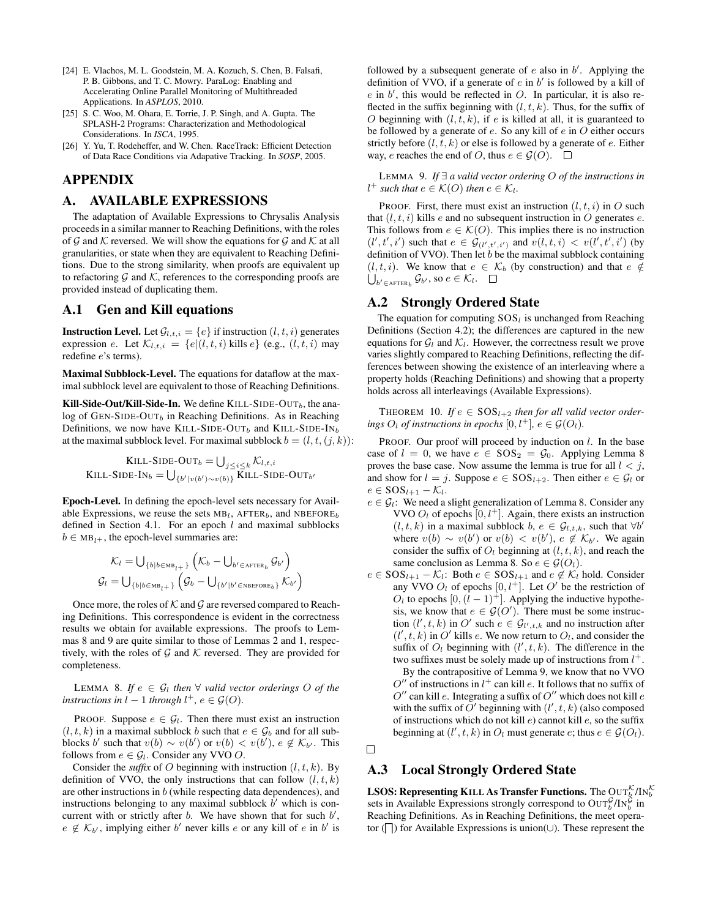- [24] E. Vlachos, M. L. Goodstein, M. A. Kozuch, S. Chen, B. Falsafi, P. B. Gibbons, and T. C. Mowry. ParaLog: Enabling and Accelerating Online Parallel Monitoring of Multithreaded Applications. In *ASPLOS*, 2010.
- [25] S. C. Woo, M. Ohara, E. Torrie, J. P. Singh, and A. Gupta. The SPLASH-2 Programs: Characterization and Methodological Considerations. In *ISCA*, 1995.
- [26] Y. Yu, T. Rodeheffer, and W. Chen. RaceTrack: Efficient Detection of Data Race Conditions via Adapative Tracking. In *SOSP*, 2005.

# APPENDIX

### A. AVAILABLE EXPRESSIONS

The adaptation of Available Expressions to Chrysalis Analysis proceeds in a similar manner to Reaching Definitions, with the roles of  $G$  and  $K$  reversed. We will show the equations for  $G$  and  $K$  at all granularities, or state when they are equivalent to Reaching Definitions. Due to the strong similarity, when proofs are equivalent up to refactoring  $\mathcal G$  and  $\mathcal K$ , references to the corresponding proofs are provided instead of duplicating them.

# A.1 Gen and Kill equations

**Instruction Level.** Let  $\mathcal{G}_{l,t,i} = \{e\}$  if instruction  $(l, t, i)$  generates expression e. Let  $\mathcal{K}_{l,t,i} = \{e | (l, t, i) \text{ kills } e\}$  (e.g.,  $(l, t, i)$  may redefine e's terms).

Maximal Subblock-Level. The equations for dataflow at the maximal subblock level are equivalent to those of Reaching Definitions.

Kill-Side-Out/Kill-Side-In. We define KILL-SIDE-OUT $_b$ , the ana $log$  of GEN-SIDE-OUT<sub>b</sub> in Reaching Definitions. As in Reaching Definitions, we now have KILL-SIDE-OUT<sub>b</sub> and KILL-SIDE-IN<sub>b</sub> at the maximal subblock level. For maximal subblock  $b = (l, t, (j, k))$ :

KILL-SIDE-OUT<sub>b</sub> = 
$$
\bigcup_{j \leq i \leq k} \mathcal{K}_{l,t,i}
$$
  
KILL-SIDE-IN<sub>b</sub> =  $\bigcup_{\{b'|v(b') \sim v(b)\}} \text{KILL-SIDE-OUT}_{b'}$ 

Epoch-Level. In defining the epoch-level sets necessary for Available Expressions, we reuse the sets  $MB_l$ , AFTER<sub>b</sub>, and NBEFORE<sub>b</sub> defined in Section 4.1. For an epoch  $l$  and maximal subblocks  $b \in MB_{1+}$ , the epoch-level summaries are:

$$
\mathcal{K}_{l} = \bigcup_{\{b \mid b \in MB_{l^{+}}\}} \left( \mathcal{K}_{b} - \bigcup_{b' \in \text{after}_b} \mathcal{G}_{b'} \right)
$$

$$
\mathcal{G}_{l} = \bigcup_{\{b \mid b \in MB_{l^{+}}\}} \left( \mathcal{G}_{b} - \bigcup_{\{b' \mid b' \in \text{NEFORE}_{b}\}} \mathcal{K}_{b'} \right)
$$

Once more, the roles of  $K$  and  $G$  are reversed compared to Reaching Definitions. This correspondence is evident in the correctness results we obtain for available expressions. The proofs to Lemmas 8 and 9 are quite similar to those of Lemmas 2 and 1, respectively, with the roles of  $G$  and  $K$  reversed. They are provided for completeness.

LEMMA 8. If  $e \in \mathcal{G}_l$  then  $\forall$  *valid vector orderings* O *of the instructions in*  $l-1$  *through*  $l^+$ *, e*  $\in \mathcal{G}(O)$ *.* 

PROOF. Suppose  $e \in \mathcal{G}_l$ . Then there must exist an instruction  $(l, t, k)$  in a maximal subblock b such that  $e \in \mathcal{G}_b$  and for all subblocks b' such that  $v(b) \sim v(b')$  or  $v(b) < v(b')$ ,  $e \notin \mathcal{K}_{b'}$ . This follows from  $e \in \mathcal{G}_l$ . Consider any VVO O.

Consider the *suffix* of O beginning with instruction  $(l, t, k)$ . By definition of VVO, the only instructions that can follow  $(l, t, k)$ are other instructions in  $b$  (while respecting data dependences), and instructions belonging to any maximal subblock  $\overline{b}'$  which is concurrent with or strictly after  $b$ . We have shown that for such  $b'$ ,  $e \notin \mathcal{K}_{b'}$ , implying either  $b'$  never kills  $e$  or any kill of  $e$  in  $b'$  is

followed by a subsequent generate of  $e$  also in  $b'$ . Applying the definition of VVO, if a generate of  $e$  in  $b'$  is followed by a kill of  $e$  in  $b'$ , this would be reflected in  $O$ . In particular, it is also reflected in the suffix beginning with  $(l, t, k)$ . Thus, for the suffix of O beginning with  $(l, t, k)$ , if e is killed at all, it is guaranteed to be followed by a generate of  $e$ . So any kill of  $e$  in  $O$  either occurs strictly before  $(l, t, k)$  or else is followed by a generate of e. Either way, e reaches the end of O, thus  $e \in \mathcal{G}(O)$ .  $\square$ 

LEMMA 9. *If* ∃ *a valid vector ordering* O *of the instructions in*  $l^+$  such that  $e \in \mathcal{K}(O)$  then  $e \in \mathcal{K}_l$ .

PROOF. First, there must exist an instruction  $(l, t, i)$  in O such that  $(l, t, i)$  kills e and no subsequent instruction in O generates e. This follows from  $e \in \mathcal{K}(O)$ . This implies there is no instruction  $(l', t', i')$  such that  $e \in \mathcal{G}_{(l', t', i')}$  and  $v(l, t, i) < v(l', t', i')$  (by definition of VVO). Then let  $b$  be the maximal subblock containing  $(l, t, i)$ . We know that  $e \in \mathcal{K}_b$  (by construction) and that  $e \notin$  $\bigcup_{b' \in \text{after}_b} \mathcal{G}_{b'},$  so  $e \in \mathcal{K}_l$ .

### A.2 Strongly Ordered State

The equation for computing  $SOS_l$  is unchanged from Reaching Definitions (Section 4.2); the differences are captured in the new equations for  $\mathcal{G}_l$  and  $\mathcal{K}_l$ . However, the correctness result we prove varies slightly compared to Reaching Definitions, reflecting the differences between showing the existence of an interleaving where a property holds (Reaching Definitions) and showing that a property holds across all interleavings (Available Expressions).

THEOREM 10. If  $e \in SOS_{l+2}$  then for all valid vector order*ings*  $O_l$  *of instructions in epochs*  $[0, l^+]$ *,*  $e \in \mathcal{G}(O_l)$ *.* 

PROOF. Our proof will proceed by induction on  $l$ . In the base case of  $l = 0$ , we have  $e \in SOS_2 = \mathcal{G}_0$ . Applying Lemma 8 proves the base case. Now assume the lemma is true for all  $l < j$ , and show for  $l = j$ . Suppose  $e \in SOS_{l+2}$ . Then either  $e \in \mathcal{G}_l$  or  $e \in SOS_{l+1} - \mathcal{K}_{l}$ .

- $e \in \mathcal{G}_l$ : We need a slight generalization of Lemma 8. Consider any VVO  $O_l$  of epochs  $[0, l^+]$ . Again, there exists an instruction  $(l, t, k)$  in a maximal subblock  $b, e \in \mathcal{G}_{l,t,k}$ , such that  $\forall b'$ where  $v(b) \sim v(b')$  or  $v(b) < v(b')$ ,  $e \notin \mathcal{K}_{b'}$ . We again consider the suffix of  $O_l$  beginning at  $(l, t, k)$ , and reach the same conclusion as Lemma 8. So  $e \in \mathcal{G}(O_l)$ .
- $e \in SOS_{l+1} \mathcal{K}_l$ : Both  $e \in SOS_{l+1}$  and  $e \notin \mathcal{K}_l$  hold. Consider any VVO  $O_l$  of epochs  $[0, l^+]$ . Let  $O'$  be the restriction of  $O_l$  to epochs  $[0,(l - 1)^+]$ . Applying the inductive hypothesis, we know that  $e \in \mathcal{G}(O')$ . There must be some instruction  $(l', t, k)$  in O' such  $e \in \mathcal{G}_{l', t, k}$  and no instruction after  $(l', t, k)$  in O' kills e. We now return to  $O_l$ , and consider the suffix of  $O_l$  beginning with  $(l', t, k)$ . The difference in the two suffixes must be solely made up of instructions from  $l^+$ . By the contrapositive of Lemma 9, we know that no VVO O'' of instructions in  $l^+$  can kill e. It follows that no suffix of

 $O''$  can kill e. Integrating a suffix of  $O''$  which does not kill e with the suffix of O' beginning with  $(l', t, k)$  (also composed of instructions which do not kill  $e$ ) cannot kill  $e$ , so the suffix beginning at  $(l', t, k)$  in  $O_l$  must generate  $e$ ; thus  $e \in \mathcal{G}(O_l)$ .

 $\Box$ 

# A.3 Local Strongly Ordered State

**LSOS: Representing K**ILL As **Transfer Functions.** The  $\mathrm{OUT}^\mathcal{K}_b/\mathrm{IN}^\mathcal{K}_b$ sets in Available Expressions strongly correspond to  $\text{OUT}_{b}^{\mathcal{G}}/\text{IN}_{b}^{\mathcal{G}}$  in Reaching Definitions. As in Reaching Definitions, the meet operator ( $\Box$ ) for Available Expressions is union(∪). These represent the